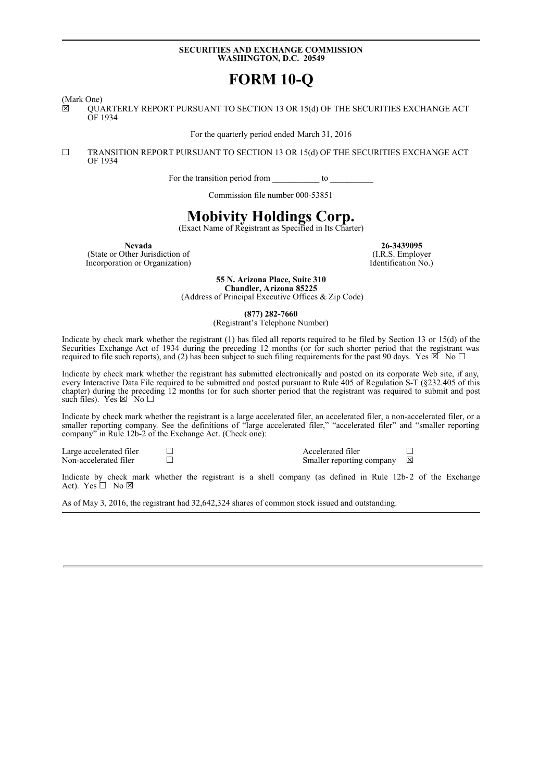## **SECURITIES AND EXCHANGE COMMISSION WASHINGTON, D.C. 20549**

# **FORM 10-Q**

(Mark One)

☒ QUARTERLY REPORT PURSUANT TO SECTION 13 OR 15(d) OF THE SECURITIES EXCHANGE ACT OF 1934

For the quarterly period ended March 31, 2016

☐ TRANSITION REPORT PURSUANT TO SECTION 13 OR 15(d) OF THE SECURITIES EXCHANGE ACT OF 1934

For the transition period from to  $\sim$ 

Commission file number 000-53851

# **Mobivity Holdings Corp.**

(Exact Name of Registrant as Specified in Its Charter)

(State or Other Jurisdiction of (I.R.S. Employer) (I.R.S. Employer<br>Incorporation or Organization) (I.R.S. Employer Incorporation or Organization)

**Nevada 26-3439095**

**55 N. Arizona Place, Suite 310 Chandler, Arizona 85225**

(Address of Principal Executive Offices & Zip Code)

**(877) 282-7660**

(Registrant's Telephone Number)

Indicate by check mark whether the registrant (1) has filed all reports required to be filed by Section 13 or 15(d) of the Securities Exchange Act of 1934 during the preceding 12 months (or for such shorter period that the registrant was required to file such reports), and (2) has been subject to such filing requirements for the past 90 days. Yes  $\boxtimes$  No  $\square$ 

Indicate by check mark whether the registrant has submitted electronically and posted on its corporate Web site, if any, every Interactive Data File required to be submitted and posted pursuant to Rule 405 of Regulation S-T (§232.405 of this chapter) during the preceding 12 months (or for such shorter period that the registrant was required to submit and post such files). Yes  $\boxtimes$  No  $\Box$ 

Indicate by check mark whether the registrant is a large accelerated filer, an accelerated filer, a non-accelerated filer, or a smaller reporting company. See the definitions of "large accelerated filer," "accelerated filer" and "smaller reporting company" in Rule 12b-2 of the Exchange Act. (Check one):

Large accelerated filer □<br>
Non-accelerated filer □<br>
□<br>
Smaller reporting company ⊠ Smaller reporting company

Indicate by check mark whether the registrant is a shell company (as defined in Rule 12b-2 of the Exchange Act). Yes  $\square$  No  $\square$ 

As of May 3, 2016, the registrant had 32,642,324 shares of common stock issued and outstanding.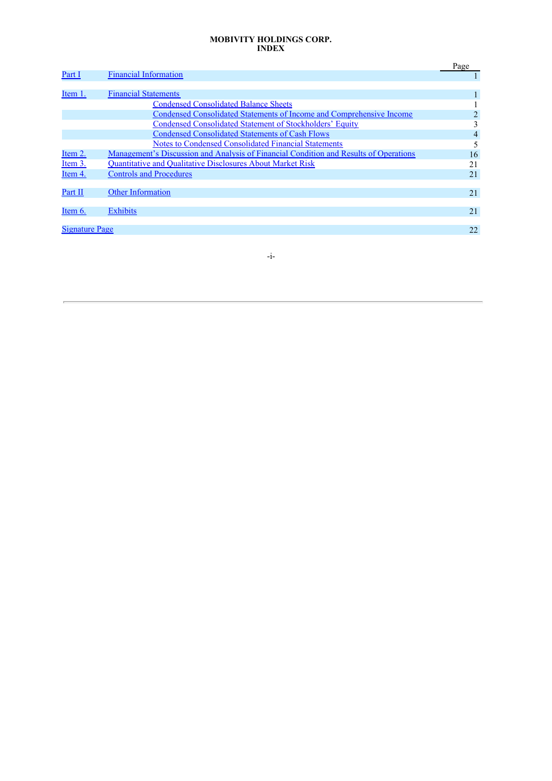## <span id="page-1-0"></span>**MOBIVITY HOLDINGS CORP. INDEX**

|                |                                                                                              | Page |
|----------------|----------------------------------------------------------------------------------------------|------|
| Part I         | <b>Financial Information</b>                                                                 |      |
|                |                                                                                              |      |
| Item 1.        | <b>Financial Statements</b>                                                                  |      |
|                | <b>Condensed Consolidated Balance Sheets</b>                                                 |      |
|                | Condensed Consolidated Statements of Income and Comprehensive Income                         |      |
|                | Condensed Consolidated Statement of Stockholders' Equity                                     | 3    |
|                | <b>Condensed Consolidated Statements of Cash Flows</b>                                       | 4    |
|                | Notes to Condensed Consolidated Financial Statements                                         | 5    |
| Item 2.        | <u>Management's Discussion and Analysis of Financial Condition and Results of Operations</u> | 16   |
| Item 3.        | <b>Quantitative and Qualitative Disclosures About Market Risk</b>                            | 21   |
| Item 4.        | <b>Controls and Procedures</b>                                                               | 2.1  |
|                |                                                                                              |      |
| Part II        | <b>Other Information</b>                                                                     | 2.1  |
|                |                                                                                              |      |
| Item 6.        | <b>Exhibits</b>                                                                              | 2.1  |
|                |                                                                                              |      |
| Signature Page |                                                                                              | 22   |

-i-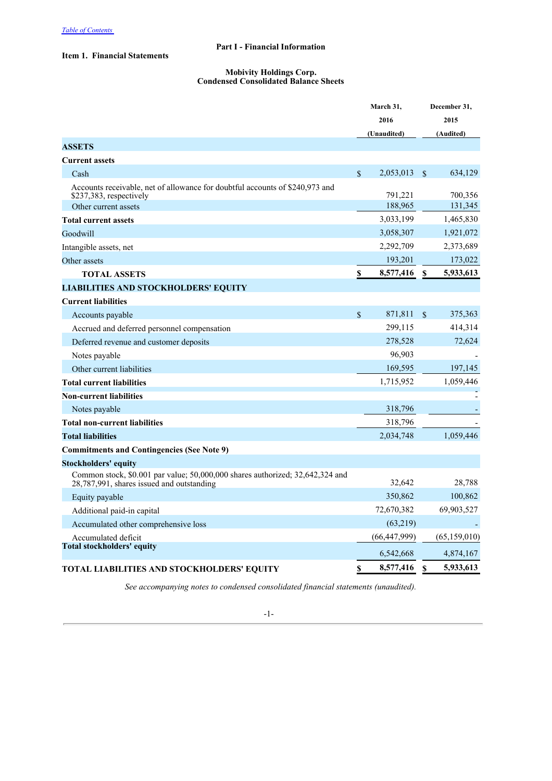# <span id="page-2-2"></span><span id="page-2-0"></span>**Part I - Financial Information**

# <span id="page-2-1"></span>**Item 1. Financial Statements**

## **Mobivity Holdings Corp. Condensed Consolidated Balance Sheets**

|                                                                                                                            | March 31,<br>2016 |                |                         | December 31,   |
|----------------------------------------------------------------------------------------------------------------------------|-------------------|----------------|-------------------------|----------------|
|                                                                                                                            |                   |                |                         | 2015           |
|                                                                                                                            |                   | (Unaudited)    |                         | (Audited)      |
| <b>ASSETS</b>                                                                                                              |                   |                |                         |                |
| <b>Current assets</b>                                                                                                      |                   |                |                         |                |
| Cash                                                                                                                       | \$                | 2,053,013      | <sup>\$</sup>           | 634,129        |
| Accounts receivable, net of allowance for doubtful accounts of \$240,973 and<br>\$237,383, respectively                    |                   | 791,221        |                         | 700,356        |
| Other current assets                                                                                                       |                   | 188,965        |                         | 131,345        |
| <b>Total current assets</b>                                                                                                |                   | 3,033,199      |                         | 1,465,830      |
| Goodwill                                                                                                                   |                   | 3,058,307      |                         | 1,921,072      |
| Intangible assets, net                                                                                                     |                   | 2,292,709      |                         | 2,373,689      |
| Other assets                                                                                                               |                   | 193,201        |                         | 173,022        |
| <b>TOTAL ASSETS</b>                                                                                                        | \$                | 8,577,416      | $\overline{\mathbf{S}}$ | 5,933,613      |
| <b>LIABILITIES AND STOCKHOLDERS' EQUITY</b>                                                                                |                   |                |                         |                |
| <b>Current liabilities</b>                                                                                                 |                   |                |                         |                |
| Accounts payable                                                                                                           | \$                | 871,811        | $\mathbf S$             | 375,363        |
| Accrued and deferred personnel compensation                                                                                |                   | 299,115        |                         | 414,314        |
| Deferred revenue and customer deposits                                                                                     |                   | 278,528        |                         | 72,624         |
| Notes payable                                                                                                              |                   | 96,903         |                         |                |
| Other current liabilities                                                                                                  |                   | 169,595        |                         | 197,145        |
| <b>Total current liabilities</b>                                                                                           |                   | 1,715,952      |                         | 1,059,446      |
| <b>Non-current liabilities</b>                                                                                             |                   |                |                         |                |
| Notes payable                                                                                                              |                   | 318,796        |                         |                |
| <b>Total non-current liabilities</b>                                                                                       |                   | 318,796        |                         |                |
| <b>Total liabilities</b>                                                                                                   |                   | 2,034,748      |                         | 1,059,446      |
| <b>Commitments and Contingencies (See Note 9)</b>                                                                          |                   |                |                         |                |
| <b>Stockholders' equity</b>                                                                                                |                   |                |                         |                |
| Common stock, \$0.001 par value; 50,000,000 shares authorized; 32,642,324 and<br>28,787,991, shares issued and outstanding |                   | 32,642         |                         | 28,788         |
| Equity payable                                                                                                             |                   | 350,862        |                         | 100,862        |
| Additional paid-in capital                                                                                                 |                   | 72,670,382     |                         | 69,903,527     |
| Accumulated other comprehensive loss                                                                                       |                   | (63,219)       |                         |                |
| Accumulated deficit                                                                                                        |                   | (66, 447, 999) |                         | (65, 159, 010) |
| Total stockholders' equity                                                                                                 |                   | 6,542,668      |                         | 4,874,167      |
| TOTAL LIABILITIES AND STOCKHOLDERS' EQUITY                                                                                 | \$                | 8,577,416      | \$                      | 5,933,613      |

*See accompanying notes to condensed consolidated financial statements (unaudited).*

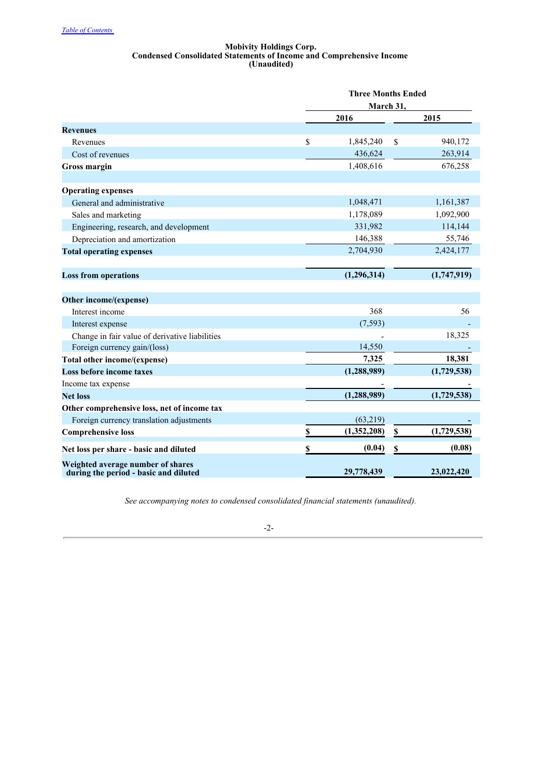#### <span id="page-3-0"></span>**Mobivity Holdings Corp. Condensed Consolidated Statements of Income and Comprehensive Income (Unaudited)**

|                                                                            | <b>Three Months Ended</b><br>March 31, |               |    |             |  |  |  |  |
|----------------------------------------------------------------------------|----------------------------------------|---------------|----|-------------|--|--|--|--|
|                                                                            |                                        |               |    |             |  |  |  |  |
|                                                                            |                                        | 2016          |    | 2015        |  |  |  |  |
| <b>Revenues</b>                                                            |                                        |               |    |             |  |  |  |  |
| Revenues                                                                   | $\mathbb{S}$                           | 1,845,240     | \$ | 940,172     |  |  |  |  |
| Cost of revenues                                                           |                                        | 436,624       |    | 263,914     |  |  |  |  |
| <b>Gross margin</b>                                                        |                                        | 1,408,616     |    | 676,258     |  |  |  |  |
|                                                                            |                                        |               |    |             |  |  |  |  |
| <b>Operating expenses</b>                                                  |                                        |               |    |             |  |  |  |  |
| General and administrative                                                 |                                        | 1,048,471     |    | 1,161,387   |  |  |  |  |
| Sales and marketing                                                        |                                        | 1,178,089     |    | 1,092,900   |  |  |  |  |
| Engineering, research, and development                                     |                                        | 331,982       |    | 114,144     |  |  |  |  |
| Depreciation and amortization                                              |                                        | 146,388       |    | 55,746      |  |  |  |  |
| <b>Total operating expenses</b>                                            |                                        | 2,704,930     |    | 2,424,177   |  |  |  |  |
|                                                                            |                                        |               |    |             |  |  |  |  |
| <b>Loss from operations</b>                                                |                                        | (1, 296, 314) |    | (1,747,919) |  |  |  |  |
|                                                                            |                                        |               |    |             |  |  |  |  |
| Other income/(expense)                                                     |                                        |               |    |             |  |  |  |  |
| Interest income                                                            |                                        | 368           |    | 56          |  |  |  |  |
| Interest expense                                                           |                                        | (7, 593)      |    |             |  |  |  |  |
| Change in fair value of derivative liabilities                             |                                        |               |    | 18,325      |  |  |  |  |
| Foreign currency gain/(loss)                                               |                                        | 14,550        |    |             |  |  |  |  |
| Total other income/(expense)                                               |                                        | 7,325         |    | 18,381      |  |  |  |  |
| <b>Loss before income taxes</b>                                            |                                        | (1, 288, 989) |    | (1,729,538) |  |  |  |  |
| Income tax expense                                                         |                                        |               |    |             |  |  |  |  |
| <b>Net loss</b>                                                            |                                        | (1, 288, 989) |    | (1,729,538) |  |  |  |  |
| Other comprehensive loss, net of income tax                                |                                        |               |    |             |  |  |  |  |
| Foreign currency translation adjustments                                   |                                        | (63,219)      |    |             |  |  |  |  |
| <b>Comprehensive loss</b>                                                  | \$                                     | (1,352,208)   | \$ | (1,729,538) |  |  |  |  |
| Net loss per share - basic and diluted                                     | \$                                     | (0.04)        | \$ | (0.08)      |  |  |  |  |
| Weighted average number of shares<br>during the period - basic and diluted |                                        | 29,778,439    |    | 23,022,420  |  |  |  |  |

*See accompanying notes to condensed consolidated financial statements (unaudited).*

-2-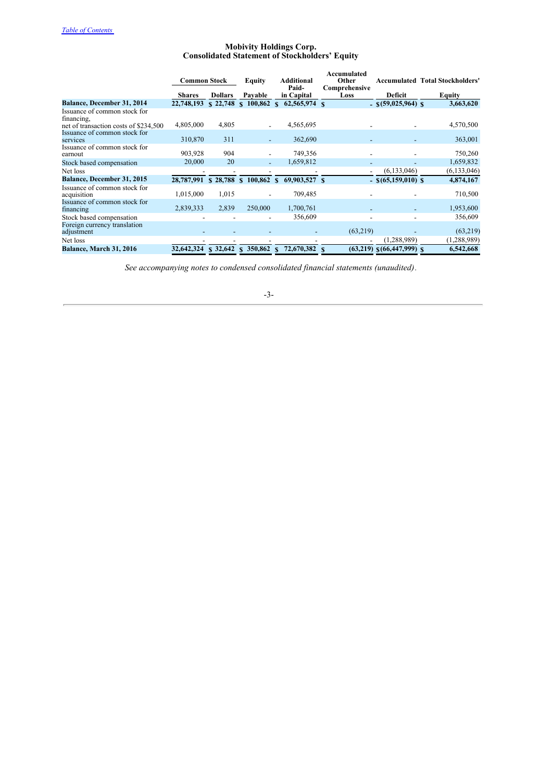## <span id="page-4-0"></span>**Mobivity Holdings Corp. Consolidated Statement of Stockholders' Equity**

|                                             | <b>Common Stock</b> |                                | <b>Equity</b> |                          |  |               | Additional |                          |                                 | Paid- |               | Accumulated<br>Other<br>Comprehensive |  | <b>Accumulated Total Stockholders'</b> |  |
|---------------------------------------------|---------------------|--------------------------------|---------------|--------------------------|--|---------------|------------|--------------------------|---------------------------------|-------|---------------|---------------------------------------|--|----------------------------------------|--|
|                                             | <b>Shares</b>       | <b>Dollars</b>                 |               | Payable                  |  | in Capital    |            | Loss                     | Deficit                         |       | Equity        |                                       |  |                                        |  |
| Balance, December 31, 2014                  | 22,748,193          | \$22,748                       |               | $$100,862$ \$            |  | 62,565,974 \$ |            |                          | $-$ \$(59,025,964) \$           |       | 3,663,620     |                                       |  |                                        |  |
| Issuance of common stock for<br>financing,  |                     |                                |               |                          |  |               |            |                          |                                 |       |               |                                       |  |                                        |  |
| net of transaction costs of \$234,500       | 4,805,000           | 4,805                          |               |                          |  | 4,565,695     |            |                          |                                 |       | 4,570,500     |                                       |  |                                        |  |
| Issuance of common stock for<br>services    | 310,870             | 311                            |               | $\overline{\phantom{a}}$ |  | 362,690       |            |                          |                                 |       | 363,001       |                                       |  |                                        |  |
| Issuance of common stock for<br>earnout     | 903,928             | 904                            |               |                          |  | 749,356       |            |                          |                                 |       | 750,260       |                                       |  |                                        |  |
| Stock based compensation                    | 20,000              | 20                             |               |                          |  | 1,659,812     |            |                          |                                 |       | 1,659,832     |                                       |  |                                        |  |
| Net loss                                    |                     |                                |               |                          |  |               |            |                          | (6, 133, 046)                   |       | (6, 133, 046) |                                       |  |                                        |  |
| Balance, December 31, 2015                  | 28,787,991          | $$28,788 \t S \t 100,862 \t S$ |               |                          |  | 69,903,527 \$ |            |                          | $-$ \$(65,159,010) \$           |       | 4,874,167     |                                       |  |                                        |  |
| Issuance of common stock for<br>acquisition | 1,015,000           | 1,015                          |               |                          |  | 709,485       |            |                          |                                 |       | 710,500       |                                       |  |                                        |  |
| Issuance of common stock for<br>financing   | 2,839,333           | 2,839                          |               | 250,000                  |  | 1,700,761     |            |                          |                                 |       | 1,953,600     |                                       |  |                                        |  |
| Stock based compensation                    |                     |                                |               |                          |  | 356,609       |            | $\overline{\phantom{0}}$ |                                 |       | 356,609       |                                       |  |                                        |  |
| Foreign currency translation<br>adjustment  |                     |                                |               |                          |  |               |            | (63,219)                 |                                 |       | (63,219)      |                                       |  |                                        |  |
| Net loss                                    |                     |                                |               |                          |  |               |            |                          | (1,288,989)                     |       | (1,288,989)   |                                       |  |                                        |  |
| Balance, March 31, 2016                     | 32,642,324 \$32,642 |                                |               | $$350,862$ \$            |  | 72,670,382 \$ |            |                          | $(63,219)$ \$ $(66,447,999)$ \$ |       | 6,542,668     |                                       |  |                                        |  |

*See accompanying notes to condensed consolidated financial statements (unaudited).*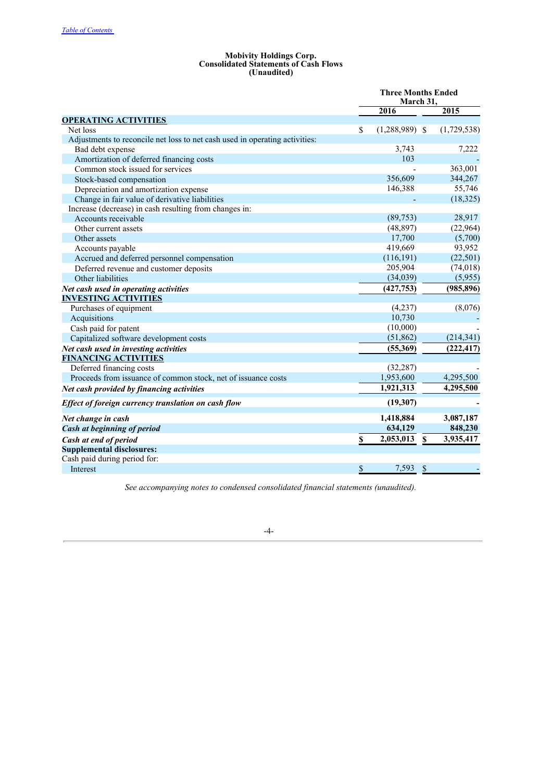#### <span id="page-5-0"></span>**Mobivity Holdings Corp. Consolidated Statements of Cash Flows (Unaudited)**

|                                                                             | <b>Three Months Ended</b><br>March 31, |                  |               |             |  |
|-----------------------------------------------------------------------------|----------------------------------------|------------------|---------------|-------------|--|
|                                                                             |                                        | 2016             |               | 2015        |  |
| <b>OPERATING ACTIVITIES</b>                                                 |                                        |                  |               |             |  |
| Net loss                                                                    | \$                                     | $(1,288,989)$ \$ |               | (1,729,538) |  |
| Adjustments to reconcile net loss to net cash used in operating activities: |                                        |                  |               |             |  |
| Bad debt expense                                                            |                                        | 3,743            |               | 7,222       |  |
| Amortization of deferred financing costs                                    |                                        | 103              |               |             |  |
| Common stock issued for services                                            |                                        |                  |               | 363,001     |  |
| Stock-based compensation                                                    |                                        | 356,609          |               | 344,267     |  |
| Depreciation and amortization expense                                       |                                        | 146,388          |               | 55,746      |  |
| Change in fair value of derivative liabilities                              |                                        |                  |               | (18, 325)   |  |
| Increase (decrease) in cash resulting from changes in:                      |                                        |                  |               |             |  |
| Accounts receivable                                                         |                                        | (89,753)         |               | 28,917      |  |
| Other current assets                                                        |                                        | (48, 897)        |               | (22,964)    |  |
| Other assets                                                                |                                        | 17,700           |               | (5,700)     |  |
| Accounts payable                                                            |                                        | 419,669          |               | 93,952      |  |
| Accrued and deferred personnel compensation                                 |                                        | (116, 191)       |               | (22, 501)   |  |
| Deferred revenue and customer deposits                                      |                                        | 205,904          |               | (74, 018)   |  |
| Other liabilities                                                           |                                        | (34,039)         |               | (5,955)     |  |
| Net cash used in operating activities                                       |                                        | (427,753)        |               | (985, 896)  |  |
| <b>INVESTING ACTIVITIES</b>                                                 |                                        |                  |               |             |  |
| Purchases of equipment                                                      |                                        | (4,237)          |               | (8,076)     |  |
| Acquisitions                                                                |                                        | 10,730           |               |             |  |
| Cash paid for patent                                                        |                                        | (10,000)         |               |             |  |
| Capitalized software development costs                                      |                                        | (51, 862)        |               | (214, 341)  |  |
| Net cash used in investing activities                                       |                                        | (55,369)         |               | (222, 417)  |  |
| <b>FINANCING ACTIVITIES</b>                                                 |                                        |                  |               |             |  |
| Deferred financing costs                                                    |                                        | (32, 287)        |               |             |  |
| Proceeds from issuance of common stock, net of issuance costs               |                                        | 1,953,600        |               | 4,295,500   |  |
| Net cash provided by financing activities                                   |                                        | 1,921,313        |               | 4,295,500   |  |
| Effect of foreign currency translation on cash flow                         |                                        | (19, 307)        |               |             |  |
| Net change in cash                                                          |                                        | 1,418,884        |               | 3,087,187   |  |
| Cash at beginning of period                                                 |                                        | 634,129          |               | 848,230     |  |
| Cash at end of period                                                       | \$                                     | 2,053,013        | $\mathbf{s}$  | 3,935,417   |  |
| <b>Supplemental disclosures:</b>                                            |                                        |                  |               |             |  |
| Cash paid during period for:                                                |                                        |                  |               |             |  |
| Interest                                                                    | \$                                     | 7,593            | <sup>\$</sup> |             |  |

*See accompanying notes to condensed consolidated financial statements (unaudited).*

-4-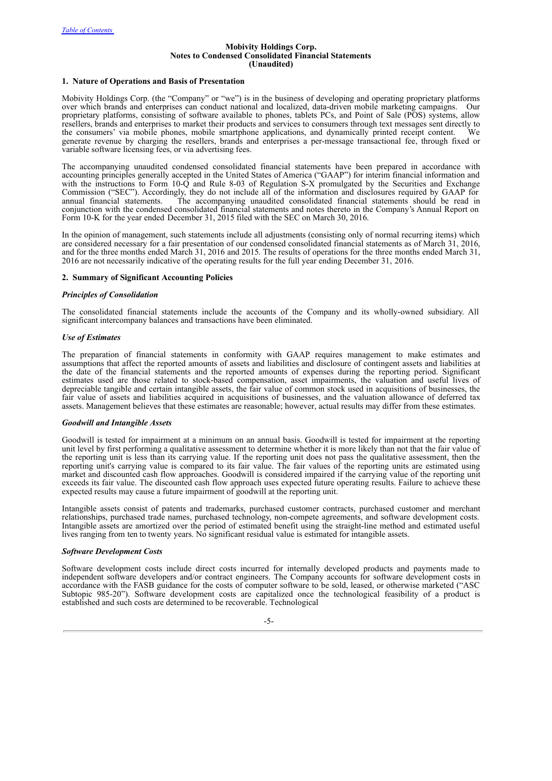#### <span id="page-6-0"></span>**Mobivity Holdings Corp. Notes to Condensed Consolidated Financial Statements (Unaudited)**

## **1. Nature of Operations and Basis of Presentation**

Mobivity Holdings Corp. (the "Company" or "we") is in the business of developing and operating proprietary platforms over which brands and enterprises can conduct national and localized, data-driven mobile marketing campaigns. Our proprietary platforms, consisting of software available to phones, tablets PCs, and Point of Sale (POS) systems, allow resellers, brands and enterprises to market their products and services to consumers through text messages sent directly to the consumers' via mobile phones, mobile smartphone applications, and dynamically printed receipt the consumers' via mobile phones, mobile smartphone applications, and dynamically printed receipt content. generate revenue by charging the resellers, brands and enterprises a per-message transactional fee, through fixed or variable software licensing fees, or via advertising fees.

The accompanying unaudited condensed consolidated financial statements have been prepared in accordance with accounting principles generally accepted in the United States of America ("GAAP") for interim financial information and with the instructions to Form 10-Q and Rule 8-03 of Regulation S-X promulgated by the Securities and Exchange Commission ("SEC"). Accordingly, they do not include all of the information and disclosures required by GAAP for annual financial statements. The accompanying unaudited consolidated financial statements should be read in conjunction with the condensed consolidated financial statements and notes thereto in the Company's Annual Report on Form 10-K for the year ended December 31, 2015 filed with the SEC on March 30, 2016.

In the opinion of management, such statements include all adjustments (consisting only of normal recurring items) which are considered necessary for a fair presentation of our condensed consolidated financial statements as of March 31, 2016, and for the three months ended March 31, 2016 and 2015. The results of operations for the three months ended March 31, 2016 are not necessarily indicative of the operating results for the full year ending December 31, 2016.

## **2. Summary of Significant Accounting Policies**

## *Principles of Consolidation*

The consolidated financial statements include the accounts of the Company and its wholly-owned subsidiary. All significant intercompany balances and transactions have been eliminated.

## *Use of Estimates*

The preparation of financial statements in conformity with GAAP requires management to make estimates and assumptions that affect the reported amounts of assets and liabilities and disclosure of contingent assets and liabilities at the date of the financial statements and the reported amounts of expenses during the reporting period. Significant estimates used are those related to stock-based compensation, asset impairments, the valuation and useful lives of depreciable tangible and certain intangible assets, the fair value of common stock used in acquisitions of businesses, the fair value of assets and liabilities acquired in acquisitions of businesses, and the valuation allowance of deferred tax assets. Management believes that these estimates are reasonable; however, actual results may differ from these estimates.

## *Goodwill and Intangible Assets*

Goodwill is tested for impairment at a minimum on an annual basis. Goodwill is tested for impairment at the reporting unit level by first performing a qualitative assessment to determine whether it is more likely than not that the fair value of the reporting unit is less than its carrying value. If the reporting unit does not pass the qualitative assessment, then the reporting unit's carrying value is compared to its fair value. The fair values of the reporting units are estimated using market and discounted cash flow approaches. Goodwill is considered impaired if the carrying value of the reporting unit exceeds its fair value. The discounted cash flow approach uses expected future operating results. Failure to achieve these expected results may cause a future impairment of goodwill at the reporting unit.

Intangible assets consist of patents and trademarks, purchased customer contracts, purchased customer and merchant relationships, purchased trade names, purchased technology, non-compete agreements, and software development costs. Intangible assets are amortized over the period of estimated benefit using the straight-line method and estimated useful lives ranging from ten to twenty years. No significant residual value is estimated for intangible assets.

## *Software Development Costs*

Software development costs include direct costs incurred for internally developed products and payments made to independent software developers and/or contract engineers. The Company accounts for software development costs in accordance with the FASB guidance for the costs of computer software to be sold, leased, or otherwise marketed ("ASC Subtopic 985-20"). Software development costs are capitalized once the technological feasibility of a product is established and such costs are determined to be recoverable. Technological

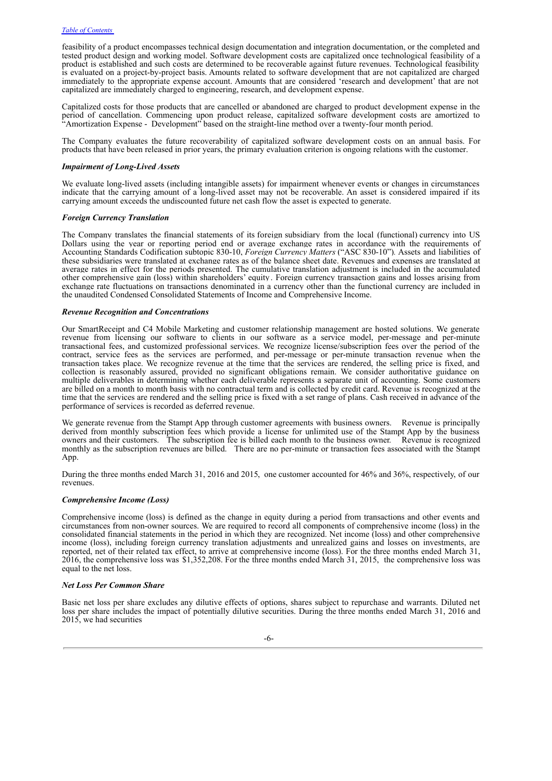feasibility of a product encompasses technical design documentation and integration documentation, or the completed and tested product design and working model. Software development costs are capitalized once technological feasibility of a product is established and such costs are determined to be recoverable against future revenues. Technological feasibility is evaluated on a project-by-project basis. Amounts related to software development that are not capitalized are charged immediately to the appropriate expense account. Amounts that are considered 'research and development' that are not capitalized are immediately charged to engineering, research, and development expense.

Capitalized costs for those products that are cancelled or abandoned are charged to product development expense in the period of cancellation. Commencing upon product release, capitalized software development costs are amortized to "Amortization Expense - Development" based on the straight-line method over a twenty-four month period.

The Company evaluates the future recoverability of capitalized software development costs on an annual basis. For products that have been released in prior years, the primary evaluation criterion is ongoing relations with the customer.

#### *Impairment of Long-Lived Assets*

We evaluate long-lived assets (including intangible assets) for impairment whenever events or changes in circumstances indicate that the carrying amount of a long-lived asset may not be recoverable. An asset is considered impaired if its carrying amount exceeds the undiscounted future net cash flow the asset is expected to generate.

#### *Foreign Currency Translation*

The Company translates the financial statements of its foreign subsidiary from the local (functional) currency into US Dollars using the year or reporting period end or average exchange rates in accordance with the requirements of Accounting Standards Codification subtopic 830-10, *Foreign Currency Matters* ("ASC 830-10")*.* Assets and liabilities of these subsidiaries were translated at exchange rates as of the balance sheet date. Revenues and expenses are translated at average rates in effect for the periods presented. The cumulative translation adjustment is included in the accumulated other comprehensive gain (loss) within shareholders' equity. Foreign currency transaction gains and losses arising from exchange rate fluctuations on transactions denominated in a currency other than the functional currency are included in the unaudited Condensed Consolidated Statements of Income and Comprehensive Income.

#### *Revenue Recognition and Concentrations*

Our SmartReceipt and C4 Mobile Marketing and customer relationship management are hosted solutions. We generate revenue from licensing our software to clients in our software as a service model, per-message and per-minute transactional fees, and customized professional services. We recognize license/subscription fees over the period of the contract, service fees as the services are performed, and per-message or per-minute transaction revenue when the transaction takes place. We recognize revenue at the time that the services are rendered, the selling price is fixed, and collection is reasonably assured, provided no significant obligations remain. We consider authoritative guidance on multiple deliverables in determining whether each deliverable represents a separate unit of accounting. Some customers are billed on a month to month basis with no contractual term and is collected by credit card. Revenue is recognized at the time that the services are rendered and the selling price is fixed with a set range of plans. Cash received in advance of the performance of services is recorded as deferred revenue.

We generate revenue from the Stampt App through customer agreements with business owners. Revenue is principally derived from monthly subscription fees which provide a license for unlimited use of the Stampt App by the business owners and their customers. The subscription fee is billed each month to the business owner. Revenue is recognized monthly as the subscription revenues are billed. There are no per-minute or transaction fees associated with the Stampt App.

During the three months ended March 31, 2016 and 2015, one customer accounted for 46% and 36%, respectively, of our revenues.

#### *Comprehensive Income (Loss)*

Comprehensive income (loss) is defined as the change in equity during a period from transactions and other events and circumstances from non-owner sources. We are required to record all components of comprehensive income (loss) in the consolidated financial statements in the period in which they are recognized. Net income (loss) and other comprehensive income (loss), including foreign currency translation adjustments and unrealized gains and losses on investments, are reported, net of their related tax effect, to arrive at comprehensive income (loss). For the three months ended March 31, 2016, the comprehensive loss was \$1,352,208. For the three months ended March 31, 2015, the comprehensive loss was equal to the net loss.

## *Net Loss Per Common Share*

Basic net loss per share excludes any dilutive effects of options, shares subject to repurchase and warrants. Diluted net loss per share includes the impact of potentially dilutive securities. During the three months ended March 31, 2016 and 2015, we had securities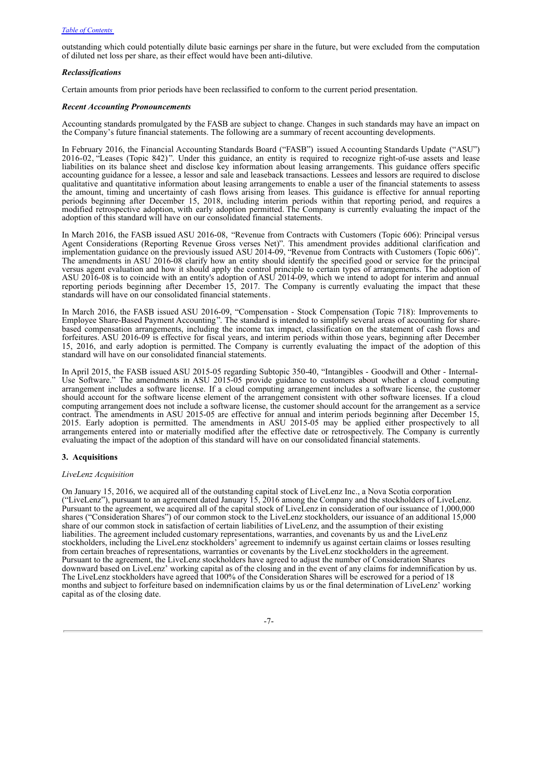outstanding which could potentially dilute basic earnings per share in the future, but were excluded from the computation of diluted net loss per share, as their effect would have been anti-dilutive.

## *Reclassifications*

Certain amounts from prior periods have been reclassified to conform to the current period presentation.

## *Recent Accounting Pronouncements*

Accounting standards promulgated by the FASB are subject to change. Changes in such standards may have an impact on the Company's future financial statements. The following are a summary of recent accounting developments.

In February 2016, the Financial Accounting Standards Board ("FASB") issued Accounting Standards Update ("ASU") 2016-02, "Leases (Topic 842) ". Under this guidance, an entity is required to recognize right-of-use assets and lease liabilities on its balance sheet and disclose key information about leasing arrangements. This guidance offers specific accounting guidance for a lessee, a lessor and sale and leaseback transactions. Lessees and lessors are required to disclose qualitative and quantitative information about leasing arrangements to enable a user of the financial statements to assess the amount, timing and uncertainty of cash flows arising from leases. This guidance is effective for annual reporting periods beginning after December 15, 2018, including interim periods within that reporting period, and requires a modified retrospective adoption, with early adoption permitted. The Company is currently evaluating the impact of the adoption of this standard will have on our consolidated financial statements.

In March 2016, the FASB issued ASU 2016-08, "Revenue from Contracts with Customers (Topic 606): Principal versus Agent Considerations (Reporting Revenue Gross verses Net)". This amendment provides additional clarification and implementation guidance on the previously issued ASU 2014-09, "Revenue from Contracts with Customers (Topic 606)". The amendments in ASU 2016-08 clarify how an entity should identify the specified good or service for the principal versus agent evaluation and how it should apply the control principle to certain types of arrangements. The adoption of ASU 2016-08 is to coincide with an entity's adoption of ASU 2014-09, which we intend to adopt for interim and annual reporting periods beginning after December 15, 2017. The Company is currently evaluating the impact that these standards will have on our consolidated financial statements.

In March 2016, the FASB issued ASU 2016-09, "Compensation - Stock Compensation (Topic 718): Improvements to Employee Share-Based Payment Accounting". The standard is intended to simplify several areas of accounting for sharebased compensation arrangements, including the income tax impact, classification on the statement of cash flows and forfeitures. ASU 2016-09 is effective for fiscal years, and interim periods within those years, beginning after December 15, 2016, and early adoption is permitted. The Company is currently evaluating the impact of the adoption of this standard will have on our consolidated financial statements.

In April 2015, the FASB issued ASU 2015-05 regarding Subtopic 350-40, "Intangibles - Goodwill and Other - Internal-Use Software." The amendments in ASU 2015-05 provide guidance to customers about whether a cloud computing arrangement includes a software license. If a cloud computing arrangement includes a software license, the customer should account for the software license element of the arrangement consistent with other software licenses. If a cloud computing arrangement does not include a software license, the customer should account for the arrangement as a service contract. The amendments in ASU 2015-05 are effective for annual and interim periods beginning after December 15, 2015. Early adoption is permitted. The amendments in ASU 2015-05 may be applied either prospectively to all arrangements entered into or materially modified after the effective date or retrospectively. The Company is currently evaluating the impact of the adoption of this standard will have on our consolidated financial statements.

## **3. Acquisitions**

## *LiveLenz Acquisition*

On January 15, 2016, we acquired all of the outstanding capital stock of LiveLenz Inc., a Nova Scotia corporation ("LiveLenz"), pursuant to an agreement dated January 15, 2016 among the Company and the stockholders of LiveLenz. Pursuant to the agreement, we acquired all of the capital stock of LiveLenz in consideration of our issuance of 1,000,000 shares ("Consideration Shares") of our common stock to the LiveLenz stockholders, our issuance of an additional 15,000 share of our common stock in satisfaction of certain liabilities of LiveLenz, and the assumption of their existing liabilities. The agreement included customary representations, warranties, and covenants by us and the LiveLenz stockholders, including the LiveLenz stockholders' agreement to indemnify us against certain claims or losses resulting from certain breaches of representations, warranties or covenants by the LiveLenz stockholders in the agreement. Pursuant to the agreement, the LiveLenz stockholders have agreed to adjust the number of Consideration Shares downward based on LiveLenz' working capital as of the closing and in the event of any claims for indemnification by us. The LiveLenz stockholders have agreed that 100% of the Consideration Shares will be escrowed for a period of 18 months and subject to forfeiture based on indemnification claims by us or the final determination of LiveLenz' working capital as of the closing date.

-7-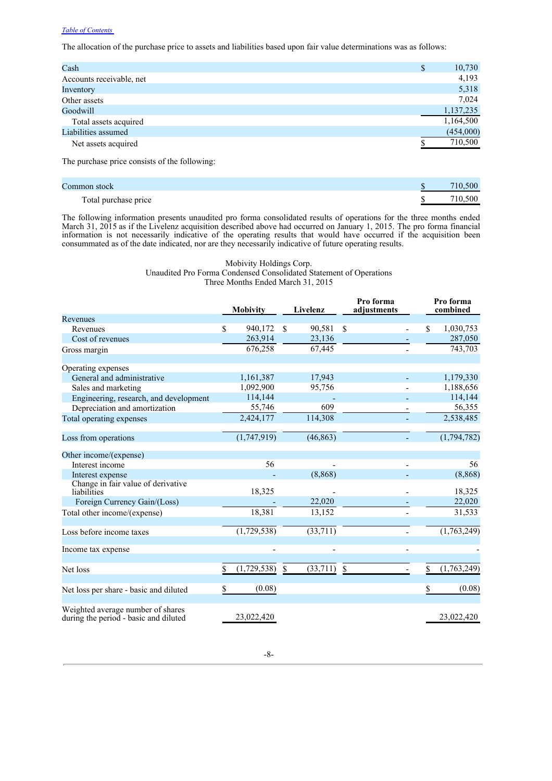The allocation of the purchase price to assets and liabilities based upon fair value determinations was as follows:

| Cash                     | \$<br>10,730 |
|--------------------------|--------------|
| Accounts receivable, net | 4,193        |
| Inventory                | 5,318        |
| Other assets             | 7,024        |
| Goodwill                 | 1,137,235    |
| Total assets acquired    | 1,164,500    |
| Liabilities assumed      | (454,000)    |
| Net assets acquired      | 710,500      |
|                          |              |

The purchase price consists of the following:

| Common stock         | 10.500  |
|----------------------|---------|
| Total purchase price | '10.500 |

The following information presents unaudited pro forma consolidated results of operations for the three months ended March 31, 2015 as if the Livelenz acquisition described above had occurred on January 1, 2015. The pro forma financial information is not necessarily indicative of the operating results that would have occurred if the acquisition been consummated as of the date indicated, nor are they necessarily indicative of future operating results.

## Mobivity Holdings Corp. Unaudited Pro Forma Condensed Consolidated Statement of Operations Three Months Ended March 31, 2015

|                                                   | Livelenz<br><b>Mobivity</b> |             |               |           | Pro forma<br>adjustments |  | Pro forma<br>combined |             |
|---------------------------------------------------|-----------------------------|-------------|---------------|-----------|--------------------------|--|-----------------------|-------------|
| Revenues                                          |                             |             |               |           |                          |  |                       |             |
| Revenues                                          | $\mathcal{S}$               | 940,172     | $\mathcal{S}$ | 90,581    | \$                       |  | S.                    | 1,030,753   |
| Cost of revenues                                  |                             | 263,914     |               | 23,136    |                          |  |                       | 287,050     |
| Gross margin                                      |                             | 676,258     |               | 67,445    |                          |  |                       | 743,703     |
|                                                   |                             |             |               |           |                          |  |                       |             |
| Operating expenses                                |                             |             |               |           |                          |  |                       |             |
| General and administrative                        |                             | 1,161,387   |               | 17,943    |                          |  |                       | 1,179,330   |
| Sales and marketing                               |                             | 1,092,900   |               | 95,756    |                          |  |                       | 1,188,656   |
| Engineering, research, and development            |                             | 114,144     |               |           |                          |  |                       | 114,144     |
| Depreciation and amortization                     |                             | 55,746      |               | 609       |                          |  |                       | 56,355      |
| Total operating expenses                          |                             | 2,424,177   |               | 114,308   |                          |  |                       | 2,538,485   |
|                                                   |                             |             |               |           |                          |  |                       |             |
| Loss from operations                              |                             | (1,747,919) |               | (46, 863) |                          |  |                       | (1,794,782) |
|                                                   |                             |             |               |           |                          |  |                       |             |
| Other income/(expense)                            |                             |             |               |           |                          |  |                       |             |
| Interest income                                   |                             | 56          |               |           |                          |  |                       | 56          |
| Interest expense                                  |                             |             |               | (8, 868)  |                          |  |                       | (8, 868)    |
| Change in fair value of derivative<br>liabilities |                             | 18,325      |               |           |                          |  |                       | 18,325      |
|                                                   |                             |             |               | 22,020    |                          |  |                       | 22,020      |
| Foreign Currency Gain/(Loss)                      |                             |             |               |           |                          |  |                       |             |
| Total other income/(expense)                      |                             | 18,381      |               | 13,152    |                          |  |                       | 31,533      |
|                                                   |                             | (1,729,538) |               | (33,711)  |                          |  |                       | (1,763,249) |
| Loss before income taxes                          |                             |             |               |           |                          |  |                       |             |
| Income tax expense                                |                             |             |               |           |                          |  |                       |             |
|                                                   |                             |             |               |           |                          |  |                       |             |
| Net loss                                          |                             | (1,729,538) | \$            | (33,711)  | $\mathcal{S}$            |  |                       | (1,763,249) |
|                                                   |                             |             |               |           |                          |  |                       |             |
| Net loss per share - basic and diluted            | \$                          | (0.08)      |               |           |                          |  | S                     | (0.08)      |
|                                                   |                             |             |               |           |                          |  |                       |             |
| Weighted average number of shares                 |                             |             |               |           |                          |  |                       |             |
| during the period - basic and diluted             |                             | 23,022,420  |               |           |                          |  |                       | 23,022,420  |
|                                                   |                             |             |               |           |                          |  |                       |             |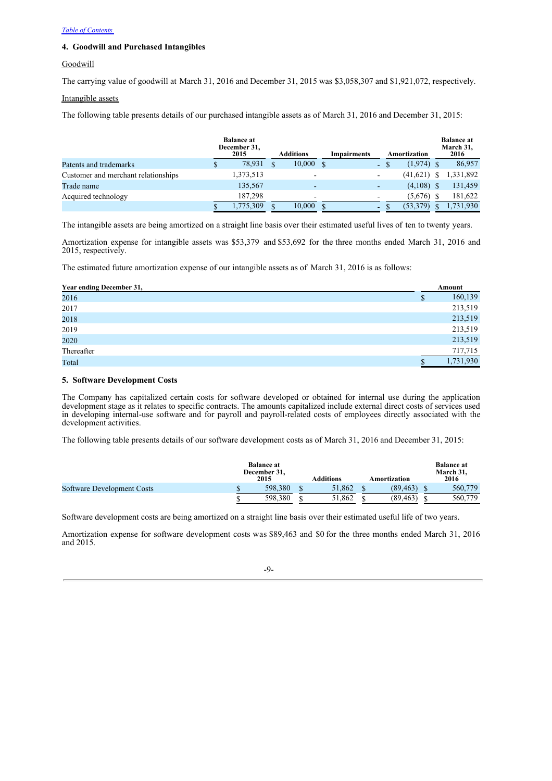# **4. Goodwill and Purchased Intangibles**

## **Goodwill**

The carrying value of goodwill at March 31, 2016 and December 31, 2015 was \$3,058,307 and \$1,921,072, respectively.

## Intangible assets

The following table presents details of our purchased intangible assets as of March 31, 2016 and December 31, 2015:

|                                     | <b>Balance at</b><br>December 31,<br>2015 | <b>Additions</b>         | <b>Impairments</b> |                          | Amortization | <b>Balance at</b><br>March 31,<br>2016 |
|-------------------------------------|-------------------------------------------|--------------------------|--------------------|--------------------------|--------------|----------------------------------------|
| Patents and trademarks              | 78,931                                    | $10,000 \text{ s}$       |                    | - \$                     | $(1,974)$ \$ | 86,957                                 |
| Customer and merchant relationships | 1,373,513                                 | $\overline{\phantom{0}}$ |                    | $\overline{\phantom{a}}$ | (41,621)     | 1,331,892                              |
| Trade name                          | 135,567                                   |                          |                    | $\overline{\phantom{a}}$ | $(4,108)$ \$ | 131,459                                |
| Acquired technology                 | 187.298                                   |                          |                    | $\overline{\phantom{a}}$ | $(5,676)$ \$ | 181,622                                |
|                                     | 1,775,309                                 | 10,000                   |                    | $\sim$                   | (53,379)     | 1,731,930                              |

The intangible assets are being amortized on a straight line basis over their estimated useful lives of ten to twenty years.

Amortization expense for intangible assets was \$53,379 and \$53,692 for the three months ended March 31, 2016 and 2015, respectively.

The estimated future amortization expense of our intangible assets as of March 31, 2016 is as follows:

## **Year ending December 31, Amount**

| $1.041$ $0.0441$ $0.0001$ $0.001$ |    | .         |
|-----------------------------------|----|-----------|
| 2016                              | S  | 160,139   |
| 2017                              |    | 213,519   |
| 2018                              |    | 213,519   |
| 2019                              |    | 213,519   |
| 2020                              |    | 213,519   |
| Thereafter                        |    | 717,715   |
| Total                             | ٨Đ | 1,731,930 |

## **5. Software Development Costs**

The Company has capitalized certain costs for software developed or obtained for internal use during the application development stage as it relates to specific contracts. The amounts capitalized include external direct costs of services used in developing internal-use software and for payroll and payroll-related costs of employees directly associated with the development activities.

The following table presents details of our software development costs as of March 31, 2016 and December 31, 2015:

|                            | <b>Balance at</b><br>December 31,<br>2015 | <b>Additions</b> | Amortization | <b>Balance at</b><br>March 31,<br>2016 |
|----------------------------|-------------------------------------------|------------------|--------------|----------------------------------------|
| Software Development Costs | 598,380                                   | 51.862           | (89, 463)    | 560,779                                |
|                            | 598.380                                   | 51.862           | (89.463)     | 560,779                                |

Software development costs are being amortized on a straight line basis over their estimated useful life of two years.

Amortization expense for software development costs was \$89,463 and \$0 for the three months ended March 31, 2016 and 2015.

## -9-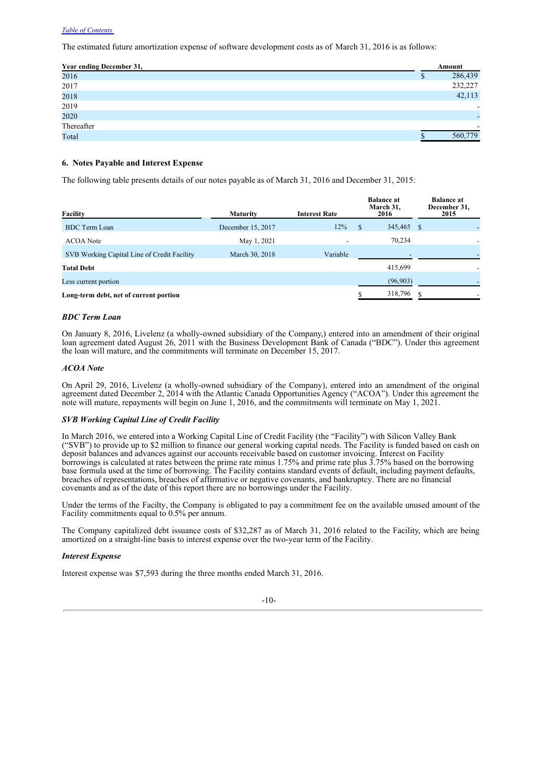The estimated future amortization expense of software development costs as of March 31, 2016 is as follows:

| Year ending December 31, |   | Amount                   |
|--------------------------|---|--------------------------|
| 2016                     | D | 286,439                  |
| 2017                     |   | 232,227                  |
| 2018                     |   | 42,113                   |
| 2019                     |   | $\overline{\phantom{0}}$ |
| 2020                     |   |                          |
| Thereafter               |   | $\overline{\phantom{0}}$ |
| Total                    |   | 560,779                  |

## **6. Notes Payable and Interest Expense**

The following table presents details of our notes payable as of March 31, 2016 and December 31, 2015:

| Facility                                    | <b>Maturity</b>   | <b>Interest Rate</b> |               | <b>Balance at</b><br>March 31,<br>2016 | <b>Balance at</b><br>December 31,<br>2015 |
|---------------------------------------------|-------------------|----------------------|---------------|----------------------------------------|-------------------------------------------|
| <b>BDC</b> Term Loan                        | December 15, 2017 | 12%                  | <sup>\$</sup> | 345,465 \$                             |                                           |
| <b>ACOA</b> Note                            | May 1, 2021       |                      |               | 70.234                                 |                                           |
| SVB Working Capital Line of Credit Facility | March 30, 2018    | Variable             |               |                                        |                                           |
| <b>Total Debt</b>                           |                   |                      |               | 415,699                                |                                           |
| Less current portion                        |                   |                      |               | (96,903)                               |                                           |
| Long-term debt, net of current portion      |                   |                      |               | 318,796                                |                                           |

## *BDC Term Loan*

On January 8, 2016, Livelenz (a wholly-owned subsidiary of the Company,) entered into an amendment of their original loan agreement dated August 26, 2011 with the Business Development Bank of Canada ("BDC"). Under this agreement the loan will mature, and the commitments will terminate on December 15, 2017.

## *ACOA Note*

On April 29, 2016, Livelenz (a wholly-owned subsidiary of the Company), entered into an amendment of the original agreement dated December 2, 2014 with the Atlantic Canada Opportunities Agency ("ACOA"). Under this agreement the note will mature, repayments will begin on June 1, 2016, and the commitments will terminate on May 1, 2021.

## *SVB Working Capital Line of Credit Facility*

In March 2016, we entered into a Working Capital Line of Credit Facility (the "Facility") with Silicon Valley Bank ("SVB") to provide up to \$2 million to finance our general working capital needs. The Facility is funded based on cash on deposit balances and advances against our accounts receivable based on customer invoicing. Interest on Facility borrowings is calculated at rates between the prime rate minus 1.75% and prime rate plus 3.75% based on the borrowing base formula used at the time of borrowing. The Facility contains standard events of default, including payment defaults, breaches of representations, breaches of affirmative or negative covenants, and bankruptcy. There are no financial covenants and as of the date of this report there are no borrowings under the Facility.

Under the terms of the Facilty, the Company is obligated to pay a commitment fee on the available unused amount of the Facility commitments equal to 0.5% per annum.

The Company capitalized debt issuance costs of \$32,287 as of March 31, 2016 related to the Facility, which are being amortized on a straight-line basis to interest expense over the two-year term of the Facility.

## *Interest Expense*

Interest expense was \$7,593 during the three months ended March 31, 2016.

## $-10-$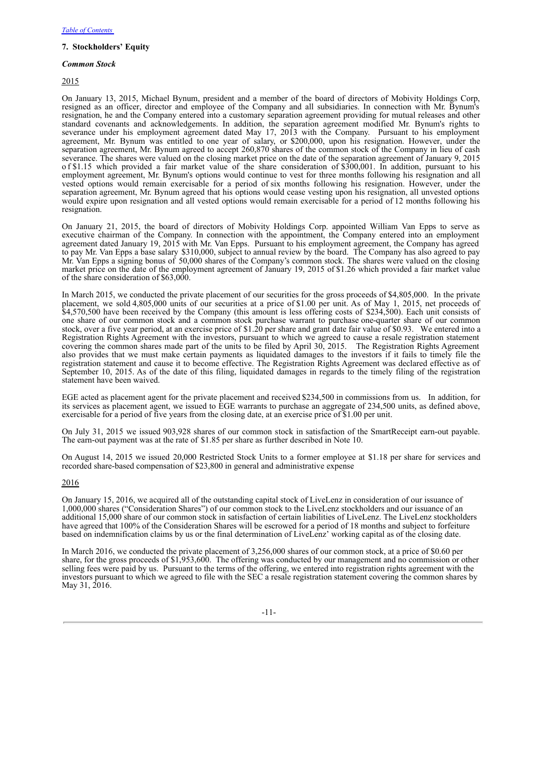## **7. Stockholders' Equity**

#### *Common Stock*

## 2015

On January 13, 2015, Michael Bynum, president and a member of the board of directors of Mobivity Holdings Corp, resigned as an officer, director and employee of the Company and all subsidiaries. In connection with Mr. Bynum's resignation, he and the Company entered into a customary separation agreement providing for mutual releases and other standard covenants and acknowledgements. In addition, the separation agreement modified Mr. Bynum's rights to severance under his employment agreement dated May 17, 2013 with the Company. Pursuant to his employment agreement, Mr. Bynum was entitled to one year of salary, or \$200,000, upon his resignation. However, under the separation agreement, Mr. Bynum agreed to accept 260,870 shares of the common stock of the Company in lieu of cash severance. The shares were valued on the closing market price on the date of the separation agreement of January 9, 2015 of \$1.15 which provided a fair market value of the share consideration of \$300,001. In addition, pursuant to his employment agreement, Mr. Bynum's options would continue to vest for three months following his resignation and all vested options would remain exercisable for a period of six months following his resignation. However, under the separation agreement, Mr. Bynum agreed that his options would cease vesting upon his resignation, all unvested options would expire upon resignation and all vested options would remain exercisable for a period of 12 months following his resignation.

On January 21, 2015, the board of directors of Mobivity Holdings Corp. appointed William Van Epps to serve as executive chairman of the Company. In connection with the appointment, the Company entered into an employment agreement dated January 19, 2015 with Mr. Van Epps. Pursuant to his employment agreement, the Company has agreed to pay Mr. Van Epps a base salary \$310,000, subject to annual review by the board. The Company has also agreed to pay Mr. Van Epps a signing bonus of 50,000 shares of the Company's common stock. The shares were valued on the closing market price on the date of the employment agreement of January 19, 2015 of \$1.26 which provided a fair market value of the share consideration of \$63,000.

In March 2015, we conducted the private placement of our securities for the gross proceeds of \$4,805,000. In the private placement, we sold 4,805,000 units of our securities at a price of \$1.00 per unit. As of May 1, 2015, net proceeds of \$4,570,500 have been received by the Company (this amount is less offering costs of \$234,500). Each unit consists of one share of our common stock and a common stock purchase warrant to purchase one-quarter share of our common stock, over a five year period, at an exercise price of \$1.20 per share and grant date fair value of \$0.93. We entered into a Registration Rights Agreement with the investors, pursuant to which we agreed to cause a resale registration statement covering the common shares made part of the units to be filed by April 30, 2015. The Registration Rights Agreement also provides that we must make certain payments as liquidated damages to the investors if it fails to timely file the registration statement and cause it to become effective. The Registration Rights Agreement was declared effective as of September 10, 2015. As of the date of this filing, liquidated damages in regards to the timely filing of the registration statement have been waived.

EGE acted as placement agent for the private placement and received \$234,500 in commissions from us. In addition, for its services as placement agent, we issued to EGE warrants to purchase an aggregate of 234,500 units, as defined above, exercisable for a period of five years from the closing date, at an exercise price of \$1.00 per unit.

On July 31, 2015 we issued 903,928 shares of our common stock in satisfaction of the SmartReceipt earn-out payable. The earn-out payment was at the rate of \$1.85 per share as further described in Note 10.

On August 14, 2015 we issued 20,000 Restricted Stock Units to a former employee at \$1.18 per share for services and recorded share-based compensation of \$23,800 in general and administrative expense

## 2016

On January 15, 2016, we acquired all of the outstanding capital stock of LiveLenz in consideration of our issuance of 1,000,000 shares ("Consideration Shares") of our common stock to the LiveLenz stockholders and our issuance of an additional 15,000 share of our common stock in satisfaction of certain liabilities of LiveLenz. The LiveLenz stockholders have agreed that 100% of the Consideration Shares will be escrowed for a period of 18 months and subject to forfeiture based on indemnification claims by us or the final determination of LiveLenz' working capital as of the closing date.

In March 2016, we conducted the private placement of 3,256,000 shares of our common stock, at a price of \$0.60 per share, for the gross proceeds of \$1,953,600. The offering was conducted by our management and no commission or other selling fees were paid by us. Pursuant to the terms of the offering, we entered into registration rights agreement with the investors pursuant to which we agreed to file with the SEC a resale registration statement covering the common shares by May 31, 2016.

-11-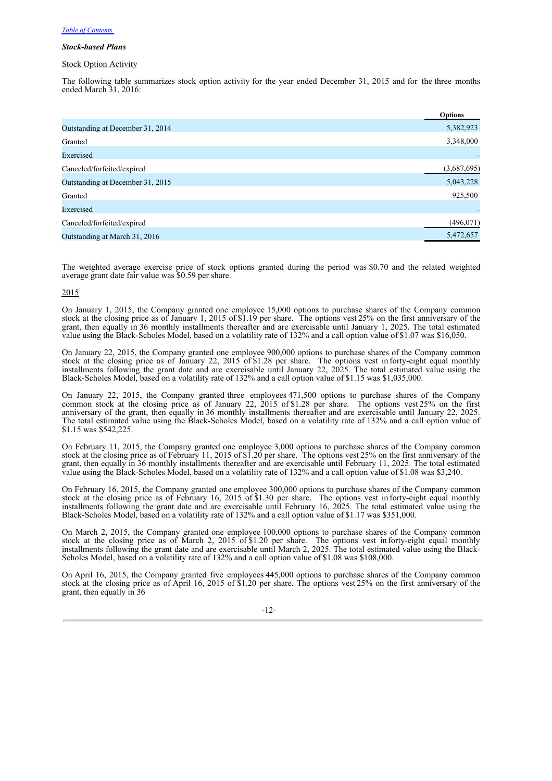#### *Stock-based Plans*

## Stock Option Activity

The following table summarizes stock option activity for the year ended December 31, 2015 and for the three months ended March 31, 2016:

|                                  | <b>Options</b> |
|----------------------------------|----------------|
| Outstanding at December 31, 2014 | 5,382,923      |
| Granted                          | 3,348,000      |
| Exercised                        |                |
| Canceled/forfeited/expired       | (3,687,695)    |
| Outstanding at December 31, 2015 | 5,043,228      |
| Granted                          | 925,500        |
| Exercised                        |                |
| Canceled/forfeited/expired       | (496, 071)     |
| Outstanding at March 31, 2016    | 5,472,657      |

The weighted average exercise price of stock options granted during the period was \$0.70 and the related weighted average grant date fair value was \$0.59 per share.

## 2015

On January 1, 2015, the Company granted one employee 15,000 options to purchase shares of the Company common stock at the closing price as of January 1, 2015 of \$1.19 per share. The options vest25% on the first anniversary of the grant, then equally in 36 monthly installments thereafter and are exercisable until January 1, 2025. The total estimated value using the Black-Scholes Model, based on a volatility rate of 132% and a call option value of \$1.07 was \$16,050.

On January 22, 2015, the Company granted one employee 900,000 options to purchase shares of the Company common stock at the closing price as of January 22, 2015 of \$1.28 per share. The options vest inforty-eight equal monthly installments following the grant date and are exercisable until January 22, 2025. The total estimated value using the Black-Scholes Model, based on a volatility rate of 132% and a call option value of \$1.15 was \$1,035,000.

On January 22, 2015, the Company granted three employees 471,500 options to purchase shares of the Company common stock at the closing price as of January 22, 2015 of \$1.28 per share. The options vest25% on the first anniversary of the grant, then equally in 36 monthly installments thereafter and are exercisable until January 22, 2025. The total estimated value using the Black-Scholes Model, based on a volatility rate of 132% and a call option value of \$1.15 was \$542,225.

On February 11, 2015, the Company granted one employee 3,000 options to purchase shares of the Company common stock at the closing price as of February 11, 2015 of \$1.20 per share. The options vest 25% on the first anniversary of the grant, then equally in 36 monthly installments thereafter and are exercisable until February 11, 2025. The total estimated value using the Black-Scholes Model, based on a volatility rate of 132% and a call option value of \$1.08 was \$3,240.

On February 16, 2015, the Company granted one employee 300,000 options to purchase shares of the Company common stock at the closing price as of February 16, 2015 of \$1.30 per share. The options vest inforty-eight equal monthly installments following the grant date and are exercisable until February 16, 2025. The total estimated value using the Black-Scholes Model, based on a volatility rate of 132% and a call option value of \$1.17 was \$351,000.

On March 2, 2015, the Company granted one employee 100,000 options to purchase shares of the Company common stock at the closing price as of March 2, 2015 of \$1.20 per share. The options vest inforty-eight equal monthly installments following the grant date and are exercisable until March 2, 2025. The total estimated value using the Black-Scholes Model, based on a volatility rate of 132% and a call option value of \$1.08 was \$108,000.

On April 16, 2015, the Company granted five employees 445,000 options to purchase shares of the Company common stock at the closing price as of April 16, 2015 of \$1.20 per share. The options vest25% on the first anniversary of the grant, then equally in 36

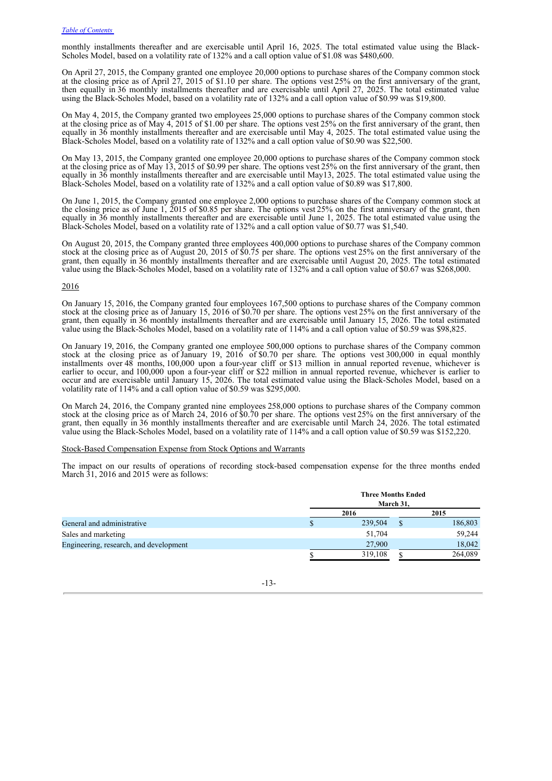monthly installments thereafter and are exercisable until April 16, 2025. The total estimated value using the Black-Scholes Model, based on a volatility rate of 132% and a call option value of \$1.08 was \$480,600.

On April 27, 2015, the Company granted one employee 20,000 options to purchase shares of the Company common stock at the closing price as of April 27, 2015 of \$1.10 per share. The options vest25% on the first anniversary of the grant, then equally in 36 monthly installments thereafter and are exercisable until April 27, 2025. The total estimated value using the Black-Scholes Model, based on a volatility rate of 132% and a call option value of \$0.99 was \$19,800.

On May 4, 2015, the Company granted two employees 25,000 options to purchase shares of the Company common stock at the closing price as of May 4, 2015 of \$1.00 per share. The options vest25% on the first anniversary of the grant, then equally in 36 monthly installments thereafter and are exercisable until May 4, 2025. The total estimated value using the Black-Scholes Model, based on a volatility rate of 132% and a call option value of \$0.90 was \$22,500.

On May 13, 2015, the Company granted one employee 20,000 options to purchase shares of the Company common stock at the closing price as of May 13, 2015 of \$0.99 per share. The options vest25% on the first anniversary of the grant, then equally in 36 monthly installments thereafter and are exercisable until May13, 2025. The total estimated value using the Black-Scholes Model, based on a volatility rate of 132% and a call option value of \$0.89 was \$17,800.

On June 1, 2015, the Company granted one employee 2,000 options to purchase shares of the Company common stock at the closing price as of June 1, 2015 of \$0.85 per share. The options vest 25% on the first anniversary of the grant, then equally in 36 monthly installments thereafter and are exercisable until June 1, 2025. The total estimated value using the Black-Scholes Model, based on a volatility rate of 132% and a call option value of \$0.77 was \$1,540.

On August 20, 2015, the Company granted three employees 400,000 options to purchase shares of the Company common stock at the closing price as of August 20, 2015 of \$0.75 per share. The options vest25% on the first anniversary of the grant, then equally in 36 monthly installments thereafter and are exercisable until August 20, 2025. The total estimated value using the Black-Scholes Model, based on a volatility rate of 132% and a call option value of \$0.67 was \$268,000.

#### 2016

On January 15, 2016, the Company granted four employees 167,500 options to purchase shares of the Company common stock at the closing price as of January 15, 2016 of \$0.70 per share. The options vest25% on the first anniversary of the grant, then equally in 36 monthly installments thereafter and are exercisable until January 15, 2026. The total estimated value using the Black-Scholes Model, based on a volatility rate of 114% and a call option value of \$0.59 was \$98,825.

On January 19, 2016, the Company granted one employee 500,000 options to purchase shares of the Company common stock at the closing price as of January 19, 2016 of \$0.70 per share. The options vest 300,000 in equal monthly installments over 48 months, 100,000 upon a four-year cliff or \$13 million in annual reported revenue, whichever is earlier to occur, and 100,000 upon a four-year cliff or \$22 million in annual reported revenue, whichever is earlier to occur and are exercisable until January 15, 2026. The total estimated value using the Black-Scholes Model, based on a volatility rate of 114% and a call option value of \$0.59 was \$295,000.

On March 24, 2016, the Company granted nine employees 258,000 options to purchase shares of the Company common stock at the closing price as of March 24, 2016 of \$0.70 per share. The options vest25% on the first anniversary of the grant, then equally in 36 monthly installments thereafter and are exercisable until March 24, 2026. The total estimated value using the Black-Scholes Model, based on a volatility rate of 114% and a call option value of \$0.59 was \$152,220.

#### Stock-Based Compensation Expense from Stock Options and Warrants

The impact on our results of operations of recording stock-based compensation expense for the three months ended March 31, 2016 and 2015 were as follows:

|                                        | <b>Three Months Ended</b><br>March 31, |     |         |  |  |  |
|----------------------------------------|----------------------------------------|-----|---------|--|--|--|
|                                        | 2016                                   |     | 2015    |  |  |  |
| General and administrative             | 239,504                                | \$. | 186,803 |  |  |  |
| Sales and marketing                    | 51,704                                 |     | 59,244  |  |  |  |
| Engineering, research, and development | 27,900                                 |     | 18,042  |  |  |  |
|                                        | 319,108                                |     | 264,089 |  |  |  |

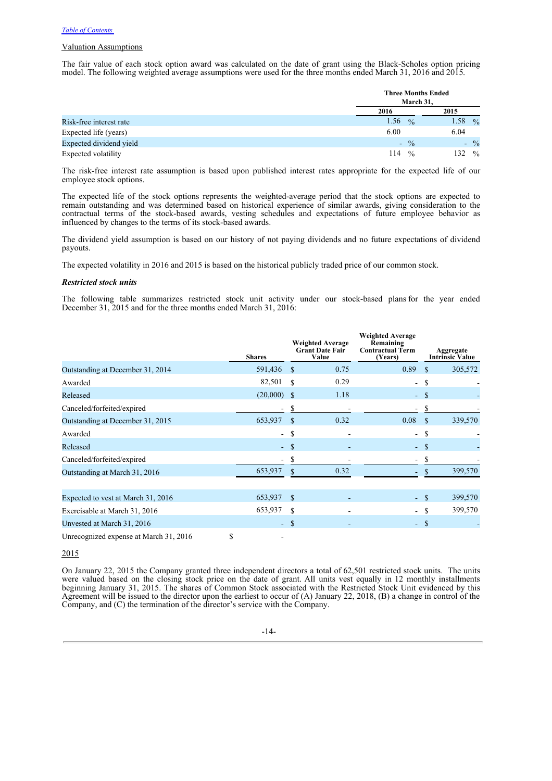# Valuation Assumptions

The fair value of each stock option award was calculated on the date of grant using the Black-Scholes option pricing model. The following weighted average assumptions were used for the three months ended March 31, 2016 and 2015.

|                         |                       | <b>Three Months Ended</b> |  |  |  |  |
|-------------------------|-----------------------|---------------------------|--|--|--|--|
|                         | March 31,             |                           |  |  |  |  |
|                         | 2016                  | 2015                      |  |  |  |  |
| Risk-free interest rate | 1.56<br>$\frac{0}{2}$ | 1.58<br>$\frac{0}{0}$     |  |  |  |  |
| Expected life (years)   | 6.00                  | 6.04                      |  |  |  |  |
| Expected dividend yield | $-$ %                 | $-$ %                     |  |  |  |  |
| Expected volatility     | 114<br>$^{0/2}$       | 132<br>$\frac{0}{0}$      |  |  |  |  |

The risk-free interest rate assumption is based upon published interest rates appropriate for the expected life of our employee stock options.

The expected life of the stock options represents the weighted-average period that the stock options are expected to remain outstanding and was determined based on historical experience of similar awards, giving consideration to the contractual terms of the stock-based awards, vesting schedules and expectations of future employee behavior as influenced by changes to the terms of its stock-based awards.

The dividend yield assumption is based on our history of not paying dividends and no future expectations of dividend payouts.

The expected volatility in 2016 and 2015 is based on the historical publicly traded price of our common stock.

#### *Restricted stock units*

The following table summarizes restricted stock unit activity under our stock-based plans for the year ended December 31, 2015 and for the three months ended March 31, 2016:

|                                                                                             | <b>Shares</b>            |               | <b>Weighted Average</b><br><b>Grant Date Fair</b><br>Value | <b>Weighted Average</b><br>Remaining<br><b>Contractual Term</b><br>(Years) |               | Aggregate<br><b>Intrinsic Value</b> |
|---------------------------------------------------------------------------------------------|--------------------------|---------------|------------------------------------------------------------|----------------------------------------------------------------------------|---------------|-------------------------------------|
| Outstanding at December 31, 2014                                                            | 591,436                  | $\mathcal{S}$ | 0.75                                                       | 0.89                                                                       | $\mathcal{S}$ | 305,572                             |
| Awarded                                                                                     | 82,501                   | S             | 0.29                                                       | $\sim$                                                                     | -S            |                                     |
| Released                                                                                    | (20,000)                 | -\$           | 1.18                                                       |                                                                            | $-$ \$        |                                     |
| Canceled/forfeited/expired                                                                  | $\overline{\phantom{a}}$ | \$            |                                                            | $\overline{\phantom{a}}$                                                   | <sup>\$</sup> |                                     |
| Outstanding at December 31, 2015                                                            | 653,937                  | <sup>\$</sup> | 0.32                                                       | 0.08                                                                       | $\mathcal{S}$ | 339,570                             |
| Awarded                                                                                     | $\overline{\phantom{a}}$ | <sup>\$</sup> |                                                            | $\sim$                                                                     | -S            |                                     |
| Released                                                                                    | $\blacksquare$           | $\mathcal{S}$ |                                                            | ÷.                                                                         | - \$          |                                     |
| Canceled/forfeited/expired                                                                  | -                        | S             |                                                            | ۰                                                                          | S             |                                     |
| Outstanding at March 31, 2016                                                               | 653,937                  | \$.           | 0.32                                                       |                                                                            |               | 399,570                             |
|                                                                                             |                          |               |                                                            |                                                                            |               |                                     |
| Expected to vest at March 31, 2016                                                          | 653,937                  | $\mathcal{S}$ |                                                            |                                                                            | $-$ \$        | 399,570                             |
| Exercisable at March 31, 2016                                                               | 653,937                  | \$.           |                                                            | $\sim$                                                                     | -S            | 399,570                             |
| Unvested at March 31, 2016                                                                  | ÷                        | <sup>\$</sup> |                                                            |                                                                            | - \$          |                                     |
| $I_{\text{meas}}$ and $I_{\text{meas}}$ and $I_{\text{meas}}$ and $I_{\text{meas}}$ 21.3016 | ¢                        |               |                                                            |                                                                            |               |                                     |

Unrecognized expense at March 31, 2016

## 2015

On January 22, 2015 the Company granted three independent directors a total of 62,501 restricted stock units. The units were valued based on the closing stock price on the date of grant. All units vest equally in 12 monthly installments beginning January 31, 2015. The shares of Common Stock associated with the Restricted Stock Unit evidenced by this Agreement will be issued to the director upon the earliest to occur of (A) January 22, 2018, (B) a change in control of the Company, and (C) the termination of the director's service with the Company.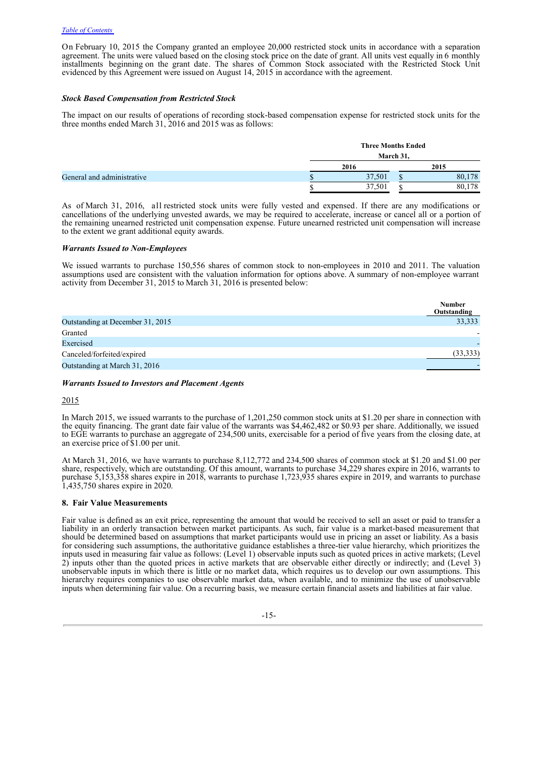On February 10, 2015 the Company granted an employee 20,000 restricted stock units in accordance with a separation agreement. The units were valued based on the closing stock price on the date of grant. All units vest equally in 6 monthly installments beginning on the grant date. The shares of Common Stock associated with the Restricted Stock Unit evidenced by this Agreement were issued on August 14, 2015 in accordance with the agreement.

#### *Stock Based Compensation from Restricted Stock*

The impact on our results of operations of recording stock-based compensation expense for restricted stock units for the three months ended March 31, 2016 and 2015 was as follows:

|                            | <b>Three Months Ended</b> |           |        |
|----------------------------|---------------------------|-----------|--------|
|                            |                           | March 31. |        |
|                            | 2016                      |           | 2015   |
| General and administrative | 37,501                    |           | 80.178 |
|                            | 37.501                    |           | 178    |

As of March 31, 2016, all restricted stock units were fully vested and expensed. If there are any modifications or cancellations of the underlying unvested awards, we may be required to accelerate, increase or cancel all or a portion of the remaining unearned restricted unit compensation expense. Future unearned restricted unit compensation will increase to the extent we grant additional equity awards.

#### *Warrants Issued to Non-Employees*

We issued warrants to purchase 150,556 shares of common stock to non-employees in 2010 and 2011. The valuation assumptions used are consistent with the valuation information for options above. A summary of non-employee warrant activity from December 31, 2015 to March 31, 2016 is presented below:

|                                  | <b>Number</b><br>Outstanding |
|----------------------------------|------------------------------|
| Outstanding at December 31, 2015 | 33,333                       |
| Granted                          |                              |
| Exercised                        |                              |
| Canceled/forfeited/expired       | (33, 333)                    |
| Outstanding at March 31, 2016    |                              |

## *Warrants Issued to Investors and Placement Agents*

## 2015

In March 2015, we issued warrants to the purchase of 1,201,250 common stock units at \$1.20 per share in connection with the equity financing. The grant date fair value of the warrants was \$4,462,482 or \$0.93 per share. Additionally, we issued to EGE warrants to purchase an aggregate of 234,500 units, exercisable for a period of five years from the closing date, at an exercise price of \$1.00 per unit.

At March 31, 2016, we have warrants to purchase 8,112,772 and 234,500 shares of common stock at \$1.20 and \$1.00 per share, respectively, which are outstanding. Of this amount, warrants to purchase 34,229 shares expire in 2016, warrants to purchase 5,153,358 shares expire in 2018, warrants to purchase 1,723,935 shares expire in 2019, and warrants to purchase 1,435,750 shares expire in 2020.

## **8. Fair Value Measurements**

Fair value is defined as an exit price, representing the amount that would be received to sell an asset or paid to transfer a liability in an orderly transaction between market participants. As such, fair value is a market-based measurement that should be determined based on assumptions that market participants would use in pricing an asset or liability. As a basis for considering such assumptions, the authoritative guidance establishes a three-tier value hierarchy, which prioritizes the inputs used in measuring fair value as follows: (Level 1) observable inputs such as quoted prices in active markets; (Level 2) inputs other than the quoted prices in active markets that are observable either directly or indirectly; and (Level 3) unobservable inputs in which there is little or no market data, which requires us to develop our own assumptions. This hierarchy requires companies to use observable market data, when available, and to minimize the use of unobservable inputs when determining fair value. On a recurring basis, we measure certain financial assets and liabilities at fair value.

-15-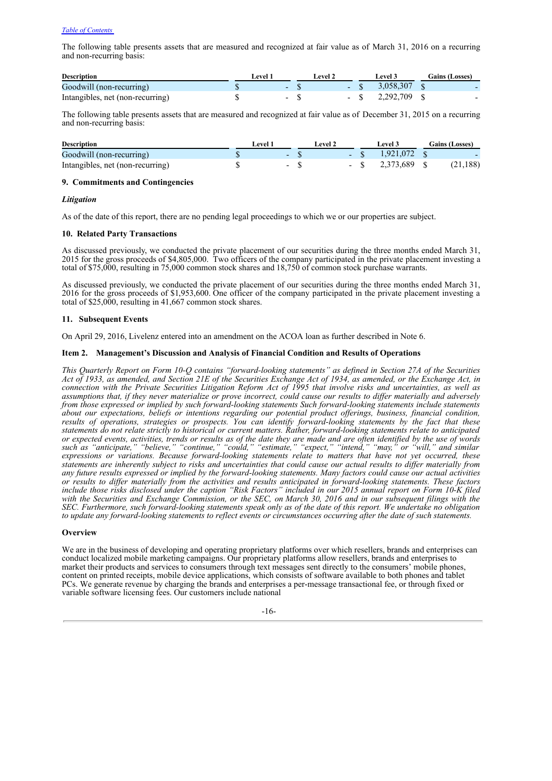The following table presents assets that are measured and recognized at fair value as of March 31, 2016 on a recurring and non-recurring basis:

| <b>Description</b>               | Level 1 |                          | evel 2 | <b>Level 3</b>      | <b>Gains (Losses)</b> |
|----------------------------------|---------|--------------------------|--------|---------------------|-----------------------|
| Goodwill (non-recurring)         |         |                          |        | 3.058.307 \$        |                       |
| Intangibles, net (non-recurring) |         | $\overline{\phantom{0}}$ |        | $-$ \$ 2.292.709 \$ |                       |

The following table presents assets that are measured and recognized at fair value as of December 31, 2015 on a recurring and non-recurring basis:

| <b>Description</b>               | <b>Level</b> 1 | Level 2 |  | <b>Level 3</b>      | <b>Gains (Losses)</b> |
|----------------------------------|----------------|---------|--|---------------------|-----------------------|
| Goodwill (non-recurring)         |                |         |  | $1.921.072$ \$      |                       |
| Intangibles, net (non-recurring) |                |         |  | $-$ \$ 2,373,689 \$ | (21, 188)             |

## **9. Commitments and Contingencies**

## *Litigation*

As of the date of this report, there are no pending legal proceedings to which we or our properties are subject.

## **10. Related Party Transactions**

As discussed previously, we conducted the private placement of our securities during the three months ended March 31, 2015 for the gross proceeds of \$4,805,000. Two officers of the company participated in the private placement investing a total of \$75,000, resulting in 75,000 common stock shares and 18,750 of common stock purchase warrants.

As discussed previously, we conducted the private placement of our securities during the three months ended March 31, 2016 for the gross proceeds of \$1,953,600. One officer of the company participated in the private placement investing a total of \$25,000, resulting in 41,667 common stock shares.

## **11. Subsequent Events**

On April 29, 2016, Livelenz entered into an amendment on the ACOA loan as further described in Note 6.

## <span id="page-17-0"></span>**Item 2. Management's Discussion and Analysis of Financial Condition and Results of Operations**

This Quarterly Report on Form 10-Q contains "forward-looking statements" as defined in Section 27A of the Securities Act of 1933, as amended, and Section 21E of the Securities Exchange Act of 1934, as amended, or the Exchange Act, in connection with the Private Securities Litigation Reform Act of 1995 that involve risks and uncertainties, as well as assumptions that, if they never materialize or prove incorrect, could cause our results to differ materially and adversely *from those expressed or implied by such forward-looking statements Such forward-looking statements include statements about our expectations, beliefs or intentions regarding our potential product of erings, business, financial condition,* results of operations, strategies or prospects. You can identify forward-looking statements by the fact that these statements do not relate strictly to historical or current matters. Rather, forward-looking statements relate to anticipated or expected events, activities, trends or results as of the date they are made and are often identified by the use of words *such as "anticipate," "believe," "continue," "could," "estimate," "expect," "intend," "may," or "will," and similar expressions or variations. Because forward-looking statements relate to matters that have not yet occurred, these* statements are inherently subject to risks and uncertainties that could cause our actual results to differ materially from any future results expressed or implied by the forward-looking statements. Many factors could cause our actual activities or results to differ materially from the activities and results anticipated in forward-looking statements. These factors include those risks disclosed under the caption "Risk Factors" included in our 2015 annual report on Form 10-K filed with the Securities and Exchange Commission, or the SEC, on March 30, 2016 and in our subsequent filings with the SEC. Furthermore, such forward-looking statements speak only as of the date of this report. We undertake no obligation to update any forward-looking statements to reflect events or circumstances occurring after the date of such statements.

## **Overview**

We are in the business of developing and operating proprietary platforms over which resellers, brands and enterprises can conduct localized mobile marketing campaigns. Our proprietary platforms allow resellers, brands and enterprises to market their products and services to consumers through text messages sent directly to the consumers' mobile phones, content on printed receipts, mobile device applications, which consists of software available to both phones and tablet PCs. We generate revenue by charging the brands and enterprises a per-message transactional fee, or through fixed or variable software licensing fees. Our customers include national

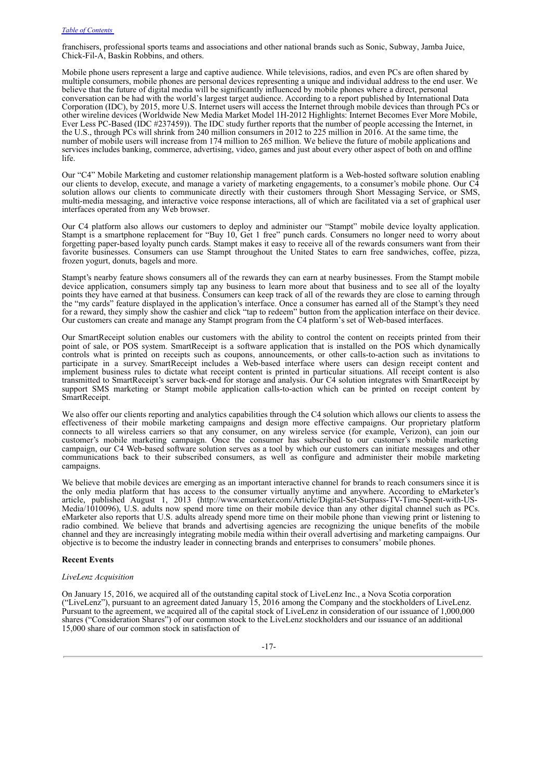franchisers, professional sports teams and associations and other national brands such as Sonic, Subway, Jamba Juice, Chick-Fil-A, Baskin Robbins, and others.

Mobile phone users represent a large and captive audience. While televisions, radios, and even PCs are often shared by multiple consumers, mobile phones are personal devices representing a unique and individual address to the end user. We believe that the future of digital media will be significantly influenced by mobile phones where a direct, personal conversation can be had with the world's largest target audience. According to a report published by International Data Corporation (IDC), by 2015, more U.S. Internet users will access the Internet through mobile devices than through PCs or other wireline devices (Worldwide New Media Market Model 1H-2012 Highlights: Internet Becomes Ever More Mobile, Ever Less PC-Based (IDC #237459)). The IDC study further reports that the number of people accessing the Internet, in the U.S., through PCs will shrink from 240 million consumers in 2012 to 225 million in 2016. At the same time, the number of mobile users will increase from 174 million to 265 million. We believe the future of mobile applications and services includes banking, commerce, advertising, video, games and just about every other aspect of both on and offline life.

Our "C4" Mobile Marketing and customer relationship management platform is a Web-hosted software solution enabling our clients to develop, execute, and manage a variety of marketing engagements, to a consumer's mobile phone. Our C4 solution allows our clients to communicate directly with their customers through Short Messaging Service, or SMS, multi-media messaging, and interactive voice response interactions, all of which are facilitated via a set of graphical user interfaces operated from any Web browser.

Our C4 platform also allows our customers to deploy and administer our "Stampt" mobile device loyalty application. Stampt is a smartphone replacement for "Buy 10, Get 1 free" punch cards. Consumers no longer need to worry about forgetting paper-based loyalty punch cards. Stampt makes it easy to receive all of the rewards consumers want from their favorite businesses. Consumers can use Stampt throughout the United States to earn free sandwiches, coffee, pizza, frozen yogurt, donuts, bagels and more.

Stampt's nearby feature shows consumers all of the rewards they can earn at nearby businesses. From the Stampt mobile device application, consumers simply tap any business to learn more about that business and to see all of the loyalty points they have earned at that business. Consumers can keep track of all of the rewards they are close to earning through the "my cards" feature displayed in the application's interface. Once a consumer has earned all of the Stampt's they need for a reward, they simply show the cashier and click "tap to redeem" button from the application interface on their device. Our customers can create and manage any Stampt program from the C4 platform's set of Web-based interfaces.

Our SmartReceipt solution enables our customers with the ability to control the content on receipts printed from their point of sale, or POS system. SmartReceipt is a software application that is installed on the POS which dynamically controls what is printed on receipts such as coupons, announcements, or other calls-to-action such as invitations to participate in a survey. SmartReceipt includes a Web-based interface where users can design receipt content and implement business rules to dictate what receipt content is printed in particular situations. All receipt content is also transmitted to SmartReceipt's server back-end for storage and analysis. Our C4 solution integrates with SmartReceipt by support SMS marketing or Stampt mobile application calls-to-action which can be printed on receipt content by SmartReceipt.

We also offer our clients reporting and analytics capabilities through the C4 solution which allows our clients to assess the effectiveness of their mobile marketing campaigns and design more effective campaigns. Our proprietary platform connects to all wireless carriers so that any consumer, on any wireless service (for example, Verizon), can join our customer's mobile marketing campaign. Once the consumer has subscribed to our customer's mobile marketing campaign, our C4 Web-based software solution serves as a tool by which our customers can initiate messages and other communications back to their subscribed consumers, as well as configure and administer their mobile marketing campaigns.

We believe that mobile devices are emerging as an important interactive channel for brands to reach consumers since it is the only media platform that has access to the consumer virtually anytime and anywhere. According to eMarketer's article, published August 1, 2013 (http://www.emarketer.com/Article/Digital-Set-Surpass-TV-Time-Spent-with-US-Media/1010096), U.S. adults now spend more time on their mobile device than any other digital channel such as PCs. eMarketer also reports that U.S. adults already spend more time on their mobile phone than viewing print or listening to radio combined. We believe that brands and advertising agencies are recognizing the unique benefits of the mobile channel and they are increasingly integrating mobile media within their overall advertising and marketing campaigns. Our objective is to become the industry leader in connecting brands and enterprises to consumers' mobile phones.

#### **Recent Events**

#### *LiveLenz Acquisition*

On January 15, 2016, we acquired all of the outstanding capital stock of LiveLenz Inc., a Nova Scotia corporation ("LiveLenz"), pursuant to an agreement dated January 15, 2016 among the Company and the stockholders of LiveLenz. Pursuant to the agreement, we acquired all of the capital stock of LiveLenz in consideration of our issuance of 1,000,000 shares ("Consideration Shares") of our common stock to the LiveLenz stockholders and our issuance of an additional 15,000 share of our common stock in satisfaction of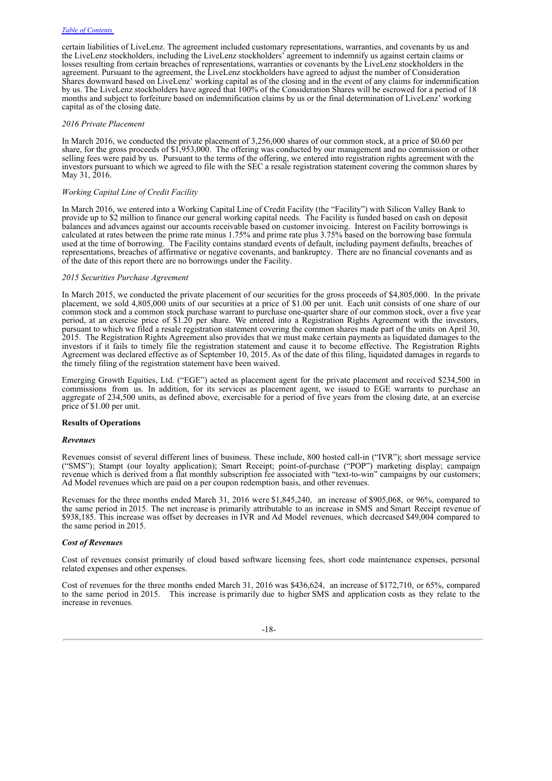certain liabilities of LiveLenz. The agreement included customary representations, warranties, and covenants by us and the LiveLenz stockholders, including the LiveLenz stockholders' agreement to indemnify us against certain claims or losses resulting from certain breaches of representations, warranties or covenants by the LiveLenz stockholders in the agreement. Pursuant to the agreement, the LiveLenz stockholders have agreed to adjust the number of Consideration Shares downward based on LiveLenz' working capital as of the closing and in the event of any claims for indemnification by us. The LiveLenz stockholders have agreed that 100% of the Consideration Shares will be escrowed for a period of 18 months and subject to forfeiture based on indemnification claims by us or the final determination of LiveLenz' working capital as of the closing date.

#### *2016 Private Placement*

In March 2016, we conducted the private placement of 3,256,000 shares of our common stock, at a price of \$0.60 per share, for the gross proceeds of \$1,953,000. The offering was conducted by our management and no commission or other selling fees were paid by us. Pursuant to the terms of the offering, we entered into registration rights agreement with the investors pursuant to which we agreed to file with the SEC a resale registration statement covering the common shares by May 31, 2016.

## *Working Capital Line of Credit Facility*

In March 2016, we entered into a Working Capital Line of Credit Facility (the "Facility") with Silicon Valley Bank to provide up to \$2 million to finance our general working capital needs. The Facility is funded based on cash on deposit balances and advances against our accounts receivable based on customer invoicing. Interest on Facility borrowings is calculated at rates between the prime rate minus 1.75% and prime rate plus 3.75% based on the borrowing base formula used at the time of borrowing. The Facility contains standard events of default, including payment defaults, breaches of representations, breaches of affirmative or negative covenants, and bankruptcy. There are no financial covenants and as of the date of this report there are no borrowings under the Facility.

#### *2015 Securities Purchase Agreement*

In March 2015, we conducted the private placement of our securities for the gross proceeds of \$4,805,000. In the private placement, we sold 4,805,000 units of our securities at a price of \$1.00 per unit. Each unit consists of one share of our common stock and a common stock purchase warrant to purchase one-quarter share of our common stock, over a five year period, at an exercise price of \$1.20 per share. We entered into a Registration Rights Agreement with the investors, pursuant to which we filed a resale registration statement covering the common shares made part of the units on April 30, 2015. The Registration Rights Agreement also provides that we must make certain payments as liquidated damages to the investors if it fails to timely file the registration statement and cause it to become effective. The Registration Rights Agreement was declared effective as of September 10, 2015. As of the date of this filing, liquidated damages in regards to the timely filing of the registration statement have been waived.

Emerging Growth Equities, Ltd. ("EGE") acted as placement agent for the private placement and received \$234,500 in commissions from us. In addition, for its services as placement agent, we issued to EGE warrants to purchase an aggregate of 234,500 units, as defined above, exercisable for a period of five years from the closing date, at an exercise price of \$1.00 per unit.

#### **Results of Operations**

#### *Revenues*

Revenues consist of several different lines of business. These include, 800 hosted call-in ("IVR"); short message service ("SMS"); Stampt (our loyalty application); Smart Receipt; point-of-purchase ("POP") marketing display; campaign revenue which is derived from a flat monthly subscription fee associated with "text-to-win" campaigns by our customers; Ad Model revenues which are paid on a per coupon redemption basis, and other revenues.

Revenues for the three months ended March 31, 2016 were \$1,845,240, an increase of \$905,068, or 96%, compared to the same period in 2015. The net increase is primarily attributable to an increase in SMS and Smart Receipt revenue of \$938,185. This increase was offset by decreases in IVR and Ad Model revenues, which decreased \$49,004 compared to the same period in 2015.

## *Cost of Revenues*

Cost of revenues consist primarily of cloud based software licensing fees, short code maintenance expenses, personal related expenses and other expenses.

Cost of revenues for the three months ended March 31, 2016 was \$436,624, an increase of \$172,710, or 65%, compared to the same period in 2015. This increase is primarily due to higher SMS and application costs as they relate to the increase in revenues.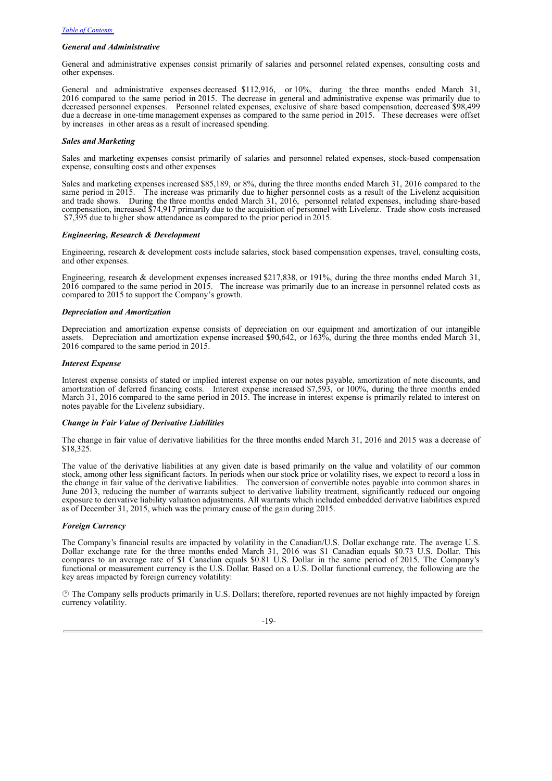## *General and Administrative*

General and administrative expenses consist primarily of salaries and personnel related expenses, consulting costs and other expenses.

General and administrative expenses decreased \$112,916, or 10%, during the three months ended March 31, 2016 compared to the same period in 2015. The decrease in general and administrative expense was primarily due to decreased personnel expenses. Personnel related expenses, exclusive of share based compensation, decreased \$98,499 due a decrease in one-time management expenses as compared to the same period in 2015. These decreases were offset by increases in other areas as a result of increased spending.

## *Sales and Marketing*

Sales and marketing expenses consist primarily of salaries and personnel related expenses, stock-based compensation expense, consulting costs and other expenses

Sales and marketing expenses increased \$85,189, or 8%, during the three months ended March 31, 2016 compared to the same period in 2015. The increase was primarily due to higher personnel costs as a result of the Livelenz acquisition and trade shows. During the three months ended March 31, 2016, personnel related expenses, including share-based compensation, increased \$74,917 primarily due to the acquisition of personnel with Livelenz. Trade show costs increased \$7,395 due to higher show attendance as compared to the prior period in2015.

## *Engineering, Research & Development*

Engineering, research & development costs include salaries, stock based compensation expenses, travel, consulting costs, and other expenses.

Engineering, research & development expenses increased \$217,838, or 191%, during the three months ended March 31, 2016 compared to the same period in 2015. The increase was primarily due to an increase in personnel related costs as compared to 2015 to support the Company's growth.

## *Depreciation and Amortization*

Depreciation and amortization expense consists of depreciation on our equipment and amortization of our intangible assets. Depreciation and amortization expense increased \$90,642, or 163%, during the three months ended March 31, 2016 compared to the same period in 2015.

## *Interest Expense*

Interest expense consists of stated or implied interest expense on our notes payable, amortization of note discounts, and amortization of deferred financing costs. Interest expense increased \$7,593, or 100%, during the three months ended March 31, 2016 compared to the same period in 2015. The increase in interest expense is primarily related to interest on notes payable for the Livelenz subsidiary.

## *Change in Fair Value of Derivative Liabilities*

The change in fair value of derivative liabilities for the three months ended March 31, 2016 and 2015 was a decrease of \$18,325.

The value of the derivative liabilities at any given date is based primarily on the value and volatility of our common stock, among other less significant factors. In periods when our stock price or volatility rises, we expect to record a loss in the change in fair value of the derivative liabilities. The conversion of convertible notes payable into common shares in June 2013, reducing the number of warrants subject to derivative liability treatment, significantly reduced our ongoing exposure to derivative liability valuation adjustments. All warrants which included embedded derivative liabilities expired as of December 31, 2015, which was the primary cause of the gain during 2015.

## *Foreign Currency*

The Company's financial results are impacted by volatility in the Canadian/U.S. Dollar exchange rate. The average U.S. Dollar exchange rate for the three months ended March 31, 2016 was \$1 Canadian equals \$0.73 U.S. Dollar. This compares to an average rate of \$1 Canadian equals \$0.81 U.S. Dollar in the same period of 2015. The Company's functional or measurement currency is the U.S. Dollar. Based on a U.S. Dollar functional currency, the following are the key areas impacted by foreign currency volatility:

· The Company sells products primarily in U.S. Dollars; therefore, reported revenues are not highly impacted by foreign currency volatility.

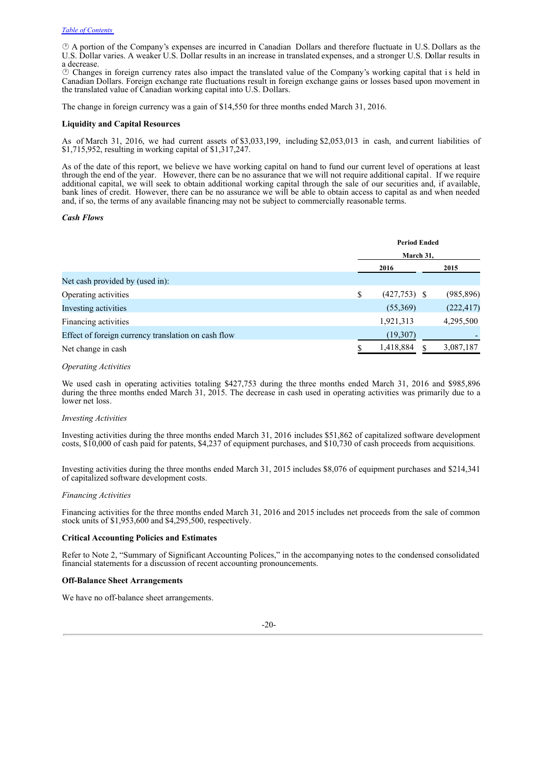· A portion of the Company's expenses are incurred in Canadian Dollars and therefore fluctuate in U.S. Dollars as the U.S. Dollar varies. A weaker U.S. Dollar results in an increase in translated expenses, and a stronger U.S. Dollar results in a decrease.

· Changes in foreign currency rates also impact the translated value of the Company's working capital that is held in Canadian Dollars. Foreign exchange rate fluctuations result in foreign exchange gains or losses based upon movement in the translated value of Canadian working capital into U.S. Dollars.

The change in foreign currency was a gain of \$14,550 for three months ended March 31, 2016.

#### **Liquidity and Capital Resources**

As of March 31, 2016, we had current assets of \$3,033,199, including \$2,053,013 in cash, andcurrent liabilities of \$1,715,952, resulting in working capital of \$1,317,247.

As of the date of this report, we believe we have working capital on hand to fund our current level of operations at least through the end of the year. However, there can be no assurance that we will not require additional capital. If we require additional capital, we will seek to obtain additional working capital through the sale of our securities and, if available, bank lines of credit. However, there can be no assurance we will be able to obtain access to capital as and when needed and, if so, the terms of any available financing may not be subject to commercially reasonable terms.

#### *Cash Flows*

|                                                     | <b>Period Ended</b>  |            |  |  |
|-----------------------------------------------------|----------------------|------------|--|--|
|                                                     | March 31,            |            |  |  |
|                                                     | 2016                 | 2015       |  |  |
| Net cash provided by (used in):                     |                      |            |  |  |
| Operating activities                                | \$<br>$(427,753)$ \$ | (985, 896) |  |  |
| Investing activities                                | (55,369)             | (222, 417) |  |  |
| Financing activities                                | 1,921,313            | 4,295,500  |  |  |
| Effect of foreign currency translation on cash flow | (19,307)             |            |  |  |
| Net change in cash                                  | 1,418,884            | 3,087,187  |  |  |

#### *Operating Activities*

We used cash in operating activities totaling \$427,753 during the three months ended March 31, 2016 and \$985,896 during the three months ended March 31, 2015. The decrease in cash used in operating activities was primarily due to a lower net loss.

#### *Investing Activities*

Investing activities during the three months ended March 31, 2016 includes \$51,862 of capitalized software development costs, \$10,000 of cash paid for patents, \$4,237 of equipment purchases, and \$10,730 of cash proceeds from acquisitions.

Investing activities during the three months ended March 31, 2015 includes \$8,076 of equipment purchases and \$214,341 of capitalized software development costs.

#### *Financing Activities*

Financing activities for the three months ended March 31, 2016 and 2015 includes net proceeds from the sale of common stock units of \$1,953,600 and \$4,295,500, respectively.

#### **Critical Accounting Policies and Estimates**

Refer to Note 2, "Summary of Significant Accounting Polices," in the accompanying notes to the condensed consolidated financial statements for a discussion of recent accounting pronouncements.

#### **Off-Balance Sheet Arrangements**

We have no off-balance sheet arrangements.

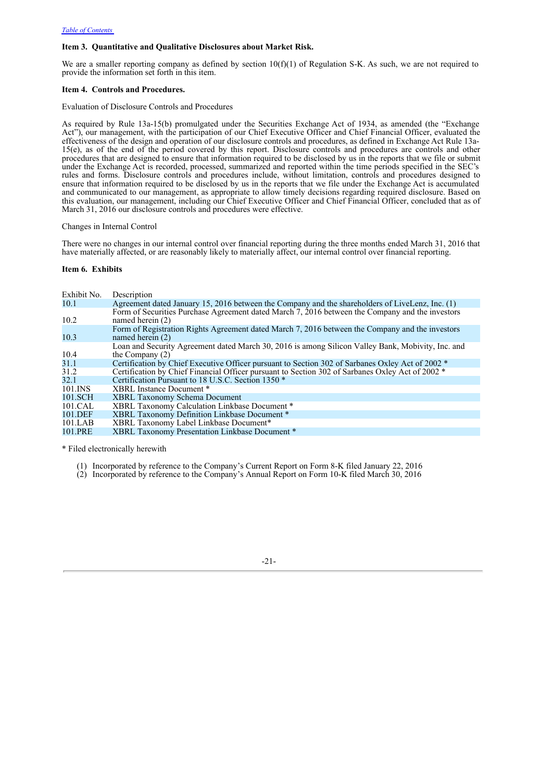## <span id="page-22-0"></span>**Item 3. Quantitative and Qualitative Disclosures about Market Risk.**

We are a smaller reporting company as defined by section  $10(f)(1)$  of Regulation S-K. As such, we are not required to provide the information set forth in this item.

## <span id="page-22-1"></span>**Item 4. Controls and Procedures.**

## Evaluation of Disclosure Controls and Procedures

As required by Rule 13a-15(b) promulgated under the Securities Exchange Act of 1934, as amended (the "Exchange Act"), our management, with the participation of our Chief Executive Officer and Chief Financial Officer, evaluated the effectiveness of the design and operation of our disclosure controls and procedures, as defined in Exchange Act Rule 13a-15(e), as of the end of the period covered by this report. Disclosure controls and procedures are controls and other procedures that are designed to ensure that information required to be disclosed by us in the reports that we file or submit under the Exchange Act is recorded, processed, summarized and reported within the time periods specified in the SEC's rules and forms. Disclosure controls and procedures include, without limitation, controls and procedures designed to ensure that information required to be disclosed by us in the reports that we file under the Exchange Act is accumulated and communicated to our management, as appropriate to allow timely decisions regarding required disclosure. Based on this evaluation, our management, including our Chief Executive Officer and Chief Financial Officer, concluded that as of March 31, 2016 our disclosure controls and procedures were effective.

#### Changes in Internal Control

There were no changes in our internal control over financial reporting during the three months ended March 31, 2016 that have materially affected, or are reasonably likely to materially affect, our internal control over financial reporting.

## <span id="page-22-2"></span>**Item 6. Exhibits**

| Exhibit No. | Description                                                                                                            |
|-------------|------------------------------------------------------------------------------------------------------------------------|
| 10.1        | Agreement dated January 15, 2016 between the Company and the shareholders of LiveLenz, Inc. (1)                        |
| 10.2        | Form of Securities Purchase Agreement dated March 7, 2016 between the Company and the investors<br>named herein $(2)$  |
| 10.3        | Form of Registration Rights Agreement dated March 7, 2016 between the Company and the investors<br>named herein $(2)$  |
| 10.4        | Loan and Security Agreement dated March 30, 2016 is among Silicon Valley Bank, Mobivity, Inc. and<br>the Company $(2)$ |
| 31.1        | Certification by Chief Executive Officer pursuant to Section 302 of Sarbanes Oxley Act of 2002 *                       |
| 31.2        | Certification by Chief Financial Officer pursuant to Section 302 of Sarbanes Oxley Act of 2002 *                       |
| 32.1        | Certification Pursuant to 18 U.S.C. Section 1350 *                                                                     |
| 101.INS     | XBRL Instance Document *                                                                                               |
| 101.SCH     | <b>XBRL Taxonomy Schema Document</b>                                                                                   |
| 101.CAL     | XBRL Taxonomy Calculation Linkbase Document *                                                                          |
| 101.DEF     | XBRL Taxonomy Definition Linkbase Document *                                                                           |
| 101.LAB     | XBRL Taxonomy Label Linkbase Document*                                                                                 |
| 101.PRE     | XBRL Taxonomy Presentation Linkbase Document *                                                                         |

\* Filed electronically herewith

- (1) Incorporated by reference to the Company's Current Report on Form 8-K filed January 22, 2016
- (2) Incorporated by reference to the Company's Annual Report on Form 10-K filed March 30, 2016

-21-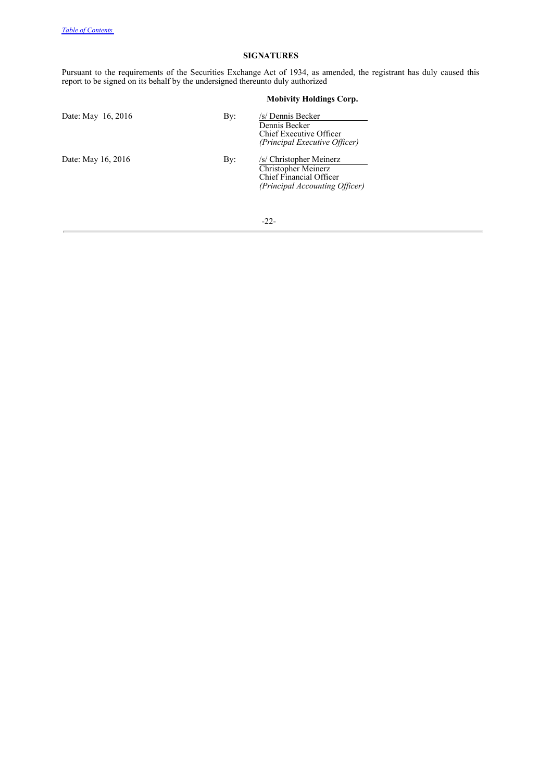# <span id="page-23-0"></span>**SIGNATURES**

Pursuant to the requirements of the Securities Exchange Act of 1934, as amended, the registrant has duly caused this report to be signed on its behalf by the undersigned thereunto duly authorized

| Date: May 16, 2016 | By: | /s/ Dennis Becker<br>Dennis Becker<br>Chief Executive Officer<br>(Principal Executive Officer)                     |  |
|--------------------|-----|--------------------------------------------------------------------------------------------------------------------|--|
| Date: May 16, 2016 | By: | /s/ Christopher Meinerz<br>Christopher Meinerz<br><b>Chief Financial Officer</b><br>(Principal Accounting Officer) |  |
|                    |     | $-22-$                                                                                                             |  |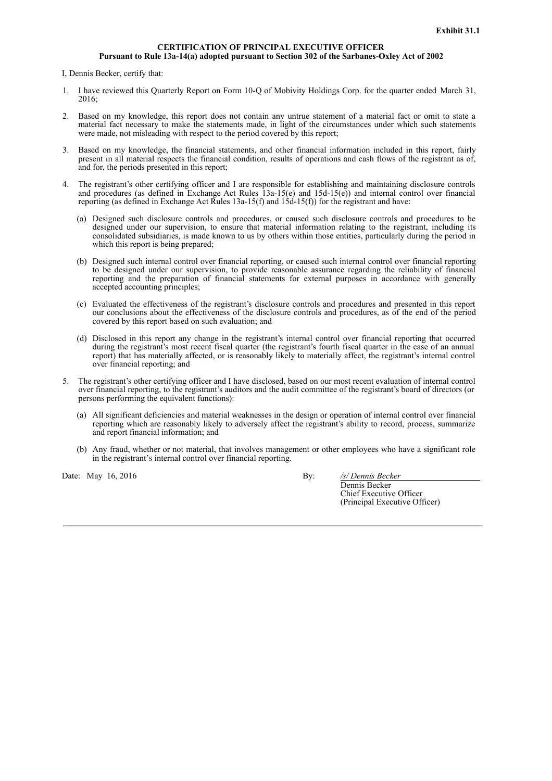## **CERTIFICATION OF PRINCIPAL EXECUTIVE OFFICER Pursuant to Rule 13a-14(a) adopted pursuant to Section 302 of the Sarbanes-Oxley Act of 2002**

I, Dennis Becker, certify that:

- 1. I have reviewed this Quarterly Report on Form 10-Q of Mobivity Holdings Corp. for the quarter ended March 31,  $2016$
- 2. Based on my knowledge, this report does not contain any untrue statement of a material fact or omit to state a material fact necessary to make the statements made, in light of the circumstances under which such statements were made, not misleading with respect to the period covered by this report;
- 3. Based on my knowledge, the financial statements, and other financial information included in this report, fairly present in all material respects the financial condition, results of operations and cash flows of the registrant as of, and for, the periods presented in this report;
- The registrant's other certifying officer and I are responsible for establishing and maintaining disclosure controls and procedures (as defined in Exchange Act Rules 13a-15(e) and 15d-15(e)) and internal control over financial reporting (as defined in Exchange Act Rules 13a-15(f) and 15d-15(f)) for the registrant and have:
	- (a) Designed such disclosure controls and procedures, or caused such disclosure controls and procedures to be designed under our supervision, to ensure that material information relating to the registrant, including its consolidated subsidiaries, is made known to us by others within those entities, particularly during the period in which this report is being prepared;
	- (b) Designed such internal control over financial reporting, or caused such internal control over financial reporting to be designed under our supervision, to provide reasonable assurance regarding the reliability of financial reporting and the preparation of financial statements for external purposes in accordance with generally accepted accounting principles;
	- (c) Evaluated the effectiveness of the registrant's disclosure controls and procedures and presented in this report our conclusions about the effectiveness of the disclosure controls and procedures, as of the end of the period covered by this report based on such evaluation; and
	- (d) Disclosed in this report any change in the registrant's internal control over financial reporting that occurred during the registrant's most recent fiscal quarter (the registrant's fourth fiscal quarter in the case of an annual report) that has materially affected, or is reasonably likely to materially affect, the registrant's internal control over financial reporting; and
- 5. The registrant's other certifying officer and I have disclosed, based on our most recent evaluation of internal control over financial reporting, to the registrant's auditors and the audit committee of the registrant's board of directors (or persons performing the equivalent functions):
	- (a) All significant deficiencies and material weaknesses in the design or operation of internal control over financial reporting which are reasonably likely to adversely affect the registrant's ability to record, process, summarize and report financial information; and
	- (b) Any fraud, whether or not material, that involves management or other employees who have a significant role in the registrant's internal control over financial reporting.

Date: May 16, 2016 By: */s/ Dennis Becker*

Dennis Becker Chief Executive Officer (Principal Executive Officer)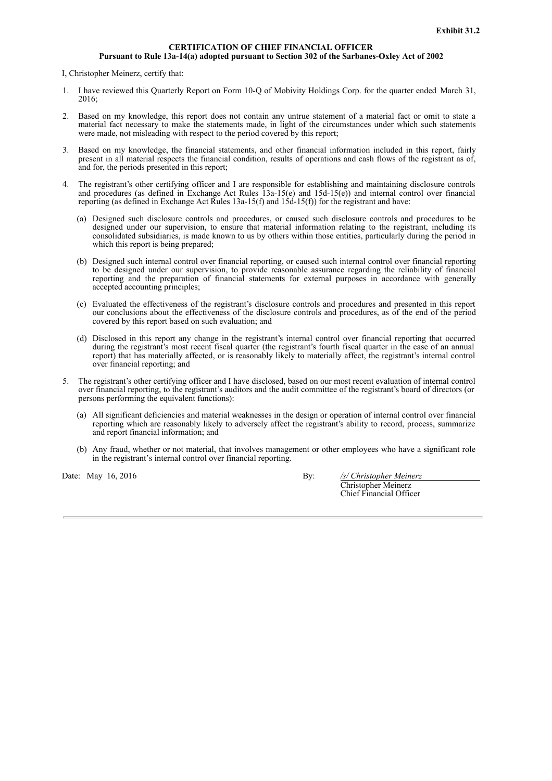## **CERTIFICATION OF CHIEF FINANCIAL OFFICER Pursuant to Rule 13a-14(a) adopted pursuant to Section 302 of the Sarbanes-Oxley Act of 2002**

I, Christopher Meinerz, certify that:

- 1. I have reviewed this Quarterly Report on Form 10-Q of Mobivity Holdings Corp. for the quarter ended March 31,  $2016$
- 2. Based on my knowledge, this report does not contain any untrue statement of a material fact or omit to state a material fact necessary to make the statements made, in light of the circumstances under which such statements were made, not misleading with respect to the period covered by this report;
- 3. Based on my knowledge, the financial statements, and other financial information included in this report, fairly present in all material respects the financial condition, results of operations and cash flows of the registrant as of, and for, the periods presented in this report;
- The registrant's other certifying officer and I are responsible for establishing and maintaining disclosure controls and procedures (as defined in Exchange Act Rules 13a-15(e) and 15d-15(e)) and internal control over financial reporting (as defined in Exchange Act Rules 13a-15(f) and 15d-15(f)) for the registrant and have:
	- (a) Designed such disclosure controls and procedures, or caused such disclosure controls and procedures to be designed under our supervision, to ensure that material information relating to the registrant, including its consolidated subsidiaries, is made known to us by others within those entities, particularly during the period in which this report is being prepared;
	- (b) Designed such internal control over financial reporting, or caused such internal control over financial reporting to be designed under our supervision, to provide reasonable assurance regarding the reliability of financial reporting and the preparation of financial statements for external purposes in accordance with generally accepted accounting principles;
	- (c) Evaluated the effectiveness of the registrant's disclosure controls and procedures and presented in this report our conclusions about the effectiveness of the disclosure controls and procedures, as of the end of the period covered by this report based on such evaluation; and
	- (d) Disclosed in this report any change in the registrant's internal control over financial reporting that occurred during the registrant's most recent fiscal quarter (the registrant's fourth fiscal quarter in the case of an annual report) that has materially affected, or is reasonably likely to materially affect, the registrant's internal control over financial reporting; and
- 5. The registrant's other certifying officer and I have disclosed, based on our most recent evaluation of internal control over financial reporting, to the registrant's auditors and the audit committee of the registrant's board of directors (or persons performing the equivalent functions):
	- (a) All significant deficiencies and material weaknesses in the design or operation of internal control over financial reporting which are reasonably likely to adversely affect the registrant's ability to record, process, summarize and report financial information; and
	- (b) Any fraud, whether or not material, that involves management or other employees who have a significant role in the registrant's internal control over financial reporting.

Date: May 16, 2016 By: */s/ Christopher Meinerz* Christopher Meinerz Chief Financial Officer